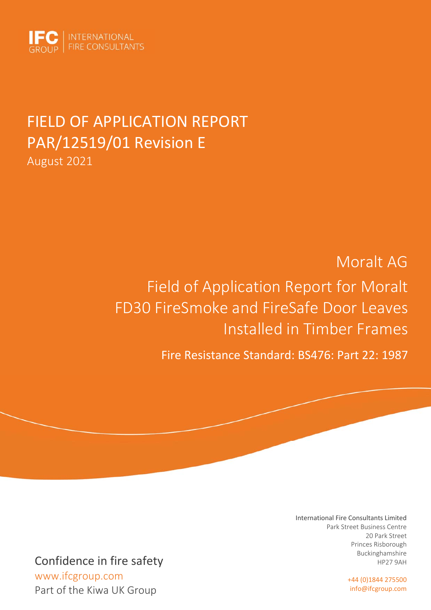

# FIELD OF APPLICATION REPORT PAR/12519/01 Revision E August 2021

# Moralt AG Field of Application Report for Moralt FD30 FireSmoke and FireSafe Door Leaves Installed in Timber Frames

Fire Resistance Standard: BS476: Part 22: 1987

#### International Fire Consultants Limited Park Street Business Centre 20 Park Street Princes Risborough Buckinghamshire HP27 9AH

+44 (0)1844 275500 info@ifcgroup.com

Confidence in fire safety

 www.ifcgroup.com Part of the Kiwa UK Group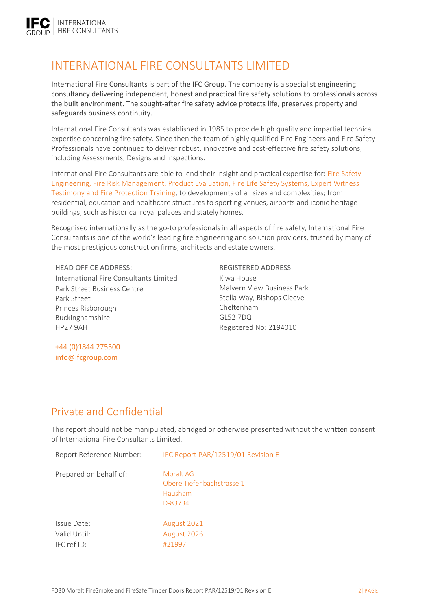# INTERNATIONAL FIRE CONSULTANTS LIMITED

International Fire Consultants is part of the IFC Group. The company is a specialist engineering consultancy delivering independent, honest and practical fire safety solutions to professionals across the built environment. The sought‐after fire safety advice protects life, preserves property and safeguards business continuity.

International Fire Consultants was established in 1985 to provide high quality and impartial technical expertise concerning fire safety. Since then the team of highly qualified Fire Engineers and Fire Safety Professionals have continued to deliver robust, innovative and cost-effective fire safety solutions, including Assessments, Designs and Inspections.

International Fire Consultants are able to lend their insight and practical expertise for: Fire Safety Engineering, Fire Risk Management, Product Evaluation, Fire Life Safety Systems, Expert Witness Testimony and Fire Protection Training, to developments of all sizes and complexities; from residential, education and healthcare structures to sporting venues, airports and iconic heritage buildings, such as historical royal palaces and stately homes.

Recognised internationally as the go-to professionals in all aspects of fire safety, International Fire Consultants is one of the world's leading fire engineering and solution providers, trusted by many of the most prestigious construction firms, architects and estate owners.

HEAD OFFICE ADDRESS: REGISTERED ADDRESS: International Fire Consultants Limited Park Street Business Centre Park Street Princes Risborough Buckinghamshire HP27 9AH

Kiwa House Malvern View Business Park Stella Way, Bishops Cleeve Cheltenham GL52 7DQ Registered No: 2194010

+44 (0)1844 275500 info@ifcgroup.com

# Private and Confidential

This report should not be manipulated, abridged or otherwise presented without the written consent of International Fire Consultants Limited.

| Report Reference Number:                   | IFC Report PAR/12519/01 Revision E                           |
|--------------------------------------------|--------------------------------------------------------------|
| Prepared on behalf of:                     | Moralt AG<br>Obere Tiefenbachstrasse 1<br>Hausham<br>D-83734 |
| Issue Date:<br>Valid Until:<br>IFC ref ID: | August 2021<br>August 2026<br>#21997                         |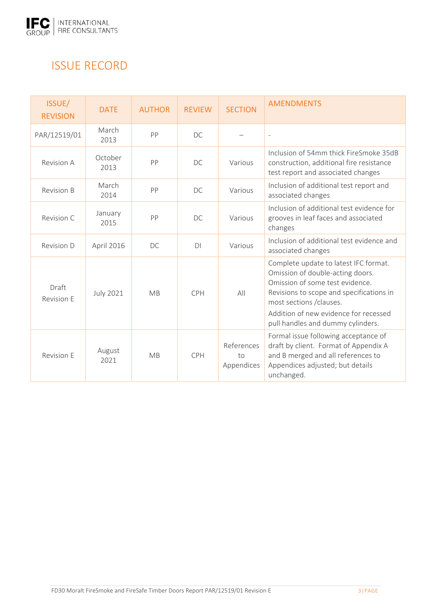

# ISSUE RECORD

| ISSUE/<br><b>REVISION</b>  | <b>DATE</b>      | <b>AUTHOR</b> | <b>REVIEW</b> | <b>SECTION</b>                 | <b>AMENDMENTS</b>                                                                                                                                                                                                                                                  |
|----------------------------|------------------|---------------|---------------|--------------------------------|--------------------------------------------------------------------------------------------------------------------------------------------------------------------------------------------------------------------------------------------------------------------|
| PAR/12519/01               | March<br>2013    | PP            | DC            |                                | $\sim$                                                                                                                                                                                                                                                             |
| Revision A                 | October<br>2013  | PP            | DC            | Various                        | Inclusion of 54mm thick FireSmoke 35dB<br>construction, additional fire resistance<br>test report and associated changes                                                                                                                                           |
| <b>Revision B</b>          | March<br>2014    | PP            | DC            | Various                        | Inclusion of additional test report and<br>associated changes                                                                                                                                                                                                      |
| Revision C                 | January<br>2015  | PP            | DC            | Various                        | Inclusion of additional test evidence for<br>grooves in leaf faces and associated<br>changes                                                                                                                                                                       |
| Revision D                 | April 2016       | DC.           | DI            | Various                        | Inclusion of additional test evidence and<br>associated changes                                                                                                                                                                                                    |
| Draft<br><b>Revision F</b> | <b>July 2021</b> | <b>MB</b>     | <b>CPH</b>    | All                            | Complete update to latest IFC format.<br>Omission of double-acting doors.<br>Omission of some test evidence.<br>Revisions to scope and specifications in<br>most sections / clauses.<br>Addition of new evidence for recessed<br>pull handles and dummy cylinders. |
| <b>Revision E</b>          | August<br>2021   | MB            | CPH           | References<br>to<br>Appendices | Formal issue following acceptance of<br>draft by client. Format of Appendix A<br>and B merged and all references to<br>Appendices adjusted; but details<br>unchanged.                                                                                              |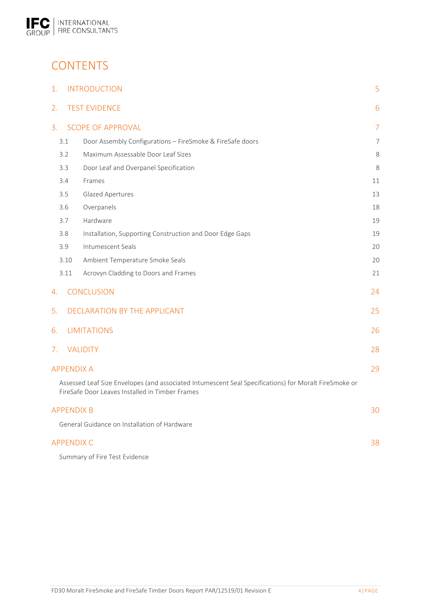

# **CONTENTS**

| 1. |                   | <b>INTRODUCTION</b>                                                                                                                                      | 5              |
|----|-------------------|----------------------------------------------------------------------------------------------------------------------------------------------------------|----------------|
| 2. |                   | <b>TEST EVIDENCE</b>                                                                                                                                     | 6              |
| 3. |                   | <b>SCOPE OF APPROVAL</b>                                                                                                                                 | $\overline{7}$ |
|    | 3.1               | Door Assembly Configurations - FireSmoke & FireSafe doors                                                                                                | 7              |
|    | 3.2               | Maximum Assessable Door Leaf Sizes                                                                                                                       | 8              |
|    | 3.3               | Door Leaf and Overpanel Specification                                                                                                                    | 8              |
|    | 3.4               | Frames                                                                                                                                                   | 11             |
|    | 3.5               | Glazed Apertures                                                                                                                                         | 13             |
|    | 3.6               | Overpanels                                                                                                                                               | 18             |
|    | 3.7               | Hardware                                                                                                                                                 | 19             |
|    | 3.8               | Installation, Supporting Construction and Door Edge Gaps                                                                                                 | 19             |
|    | 3.9               | Intumescent Seals                                                                                                                                        | 20             |
|    | 3.10              | Ambient Temperature Smoke Seals                                                                                                                          | 20             |
|    | 3.11              | Acrovyn Cladding to Doors and Frames                                                                                                                     | 21             |
| 4. |                   | <b>CONCLUSION</b>                                                                                                                                        | 24             |
| 5. |                   | DECLARATION BY THE APPLICANT                                                                                                                             | 25             |
| 6. |                   | <b>LIMITATIONS</b>                                                                                                                                       | 26             |
| 7. |                   | <b>VALIDITY</b>                                                                                                                                          | 28             |
|    | <b>APPENDIX A</b> |                                                                                                                                                          | 29             |
|    |                   | Assessed Leaf Size Envelopes (and associated Intumescent Seal Specifications) for Moralt FireSmoke or<br>FireSafe Door Leaves Installed in Timber Frames |                |
|    | <b>APPENDIX B</b> |                                                                                                                                                          | 30             |
|    |                   | General Guidance on Installation of Hardware                                                                                                             |                |
|    | <b>APPENDIX C</b> |                                                                                                                                                          | 38             |

Summary of Fire Test Evidence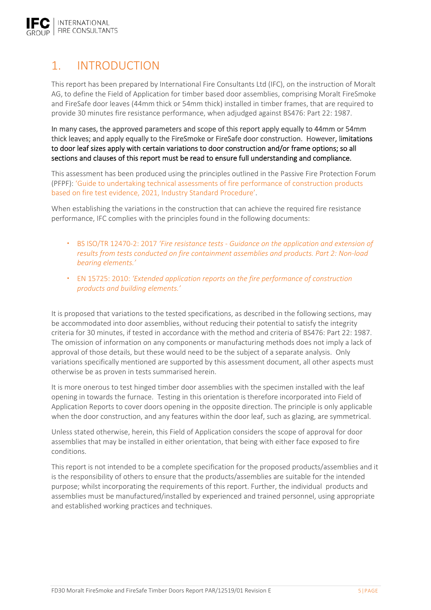

# 1. INTRODUCTION

This report has been prepared by International Fire Consultants Ltd (IFC), on the instruction of Moralt AG, to define the Field of Application for timber based door assemblies, comprising Moralt FireSmoke and FireSafe door leaves (44mm thick or 54mm thick) installed in timber frames, that are required to provide 30 minutes fire resistance performance, when adjudged against BS476: Part 22: 1987.

In many cases, the approved parameters and scope of this report apply equally to 44mm or 54mm thick leaves; and apply equally to the FireSmoke or FireSafe door construction. However, limitations to door leaf sizes apply with certain variations to door construction and/or frame options; so all sections and clauses of this report must be read to ensure full understanding and compliance.

This assessment has been produced using the principles outlined in the Passive Fire Protection Forum (PFPF): 'Guide to undertaking technical assessments of fire performance of construction products based on fire test evidence, 2021, Industry Standard Procedure'.

When establishing the variations in the construction that can achieve the required fire resistance performance, IFC complies with the principles found in the following documents:

- BS ISO/TR 12470‐2: 2017 *'Fire resistance tests ‐ Guidance on the application and extension of results from tests conducted on fire containment assemblies and products. Part 2: Non‐load bearing elements.'*
- EN 15725: 2010: *'Extended application reports on the fire performance of construction products and building elements.'*

It is proposed that variations to the tested specifications, as described in the following sections, may be accommodated into door assemblies, without reducing their potential to satisfy the integrity criteria for 30 minutes, if tested in accordance with the method and criteria of BS476: Part 22: 1987. The omission of information on any components or manufacturing methods does not imply a lack of approval of those details, but these would need to be the subject of a separate analysis. Only variations specifically mentioned are supported by this assessment document, all other aspects must otherwise be as proven in tests summarised herein.

It is more onerous to test hinged timber door assemblies with the specimen installed with the leaf opening in towards the furnace. Testing in this orientation is therefore incorporated into Field of Application Reports to cover doors opening in the opposite direction. The principle is only applicable when the door construction, and any features within the door leaf, such as glazing, are symmetrical.

Unless stated otherwise, herein, this Field of Application considers the scope of approval for door assemblies that may be installed in either orientation, that being with either face exposed to fire conditions.

This report is not intended to be a complete specification for the proposed products/assemblies and it is the responsibility of others to ensure that the products/assemblies are suitable for the intended purpose; whilst incorporating the requirements of this report. Further, the individual products and assemblies must be manufactured/installed by experienced and trained personnel, using appropriate and established working practices and techniques.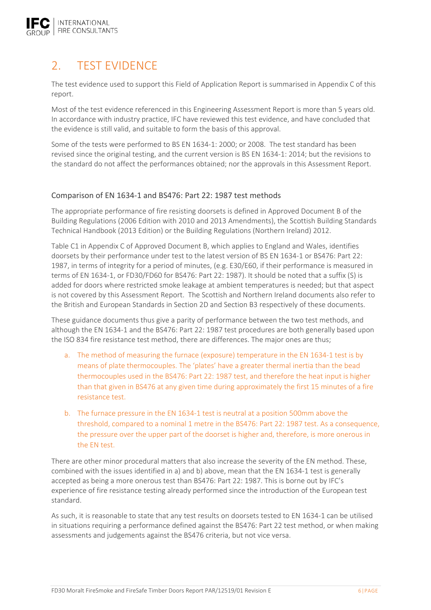

# 2. TEST EVIDENCE

The test evidence used to support this Field of Application Report is summarised in Appendix C of this report.

Most of the test evidence referenced in this Engineering Assessment Report is more than 5 years old. In accordance with industry practice, IFC have reviewed this test evidence, and have concluded that the evidence is still valid, and suitable to form the basis of this approval.

Some of the tests were performed to BS EN 1634‐1: 2000; or 2008. The test standard has been revised since the original testing, and the current version is BS EN 1634‐1: 2014; but the revisions to the standard do not affect the performances obtained; nor the approvals in this Assessment Report.

### Comparison of EN 1634‐1 and BS476: Part 22: 1987 test methods

The appropriate performance of fire resisting doorsets is defined in Approved Document B of the Building Regulations (2006 Edition with 2010 and 2013 Amendments), the Scottish Building Standards Technical Handbook (2013 Edition) or the Building Regulations (Northern Ireland) 2012.

Table C1 in Appendix C of Approved Document B, which applies to England and Wales, identifies doorsets by their performance under test to the latest version of BS EN 1634‐1 or BS476: Part 22: 1987, in terms of integrity for a period of minutes, (e.g. E30/E60, if their performance is measured in terms of EN 1634‐1, or FD30/FD60 for BS476: Part 22: 1987). It should be noted that a suffix (S) is added for doors where restricted smoke leakage at ambient temperatures is needed; but that aspect is not covered by this Assessment Report. The Scottish and Northern Ireland documents also refer to the British and European Standards in Section 2D and Section B3 respectively of these documents.

These guidance documents thus give a parity of performance between the two test methods, and although the EN 1634‐1 and the BS476: Part 22: 1987 test procedures are both generally based upon the ISO 834 fire resistance test method, there are differences. The major ones are thus;

- a. The method of measuring the furnace (exposure) temperature in the EN 1634‐1 test is by means of plate thermocouples. The 'plates' have a greater thermal inertia than the bead thermocouples used in the BS476: Part 22: 1987 test, and therefore the heat input is higher than that given in BS476 at any given time during approximately the first 15 minutes of a fire resistance test.
- b. The furnace pressure in the EN 1634‐1 test is neutral at a position 500mm above the threshold, compared to a nominal 1 metre in the BS476: Part 22: 1987 test. As a consequence, the pressure over the upper part of the doorset is higher and, therefore, is more onerous in the EN test.

There are other minor procedural matters that also increase the severity of the EN method. These, combined with the issues identified in a) and b) above, mean that the EN 1634‐1 test is generally accepted as being a more onerous test than BS476: Part 22: 1987. This is borne out by IFC's experience of fire resistance testing already performed since the introduction of the European test standard.

As such, it is reasonable to state that any test results on doorsets tested to EN 1634‐1 can be utilised in situations requiring a performance defined against the BS476: Part 22 test method, or when making assessments and judgements against the BS476 criteria, but not vice versa.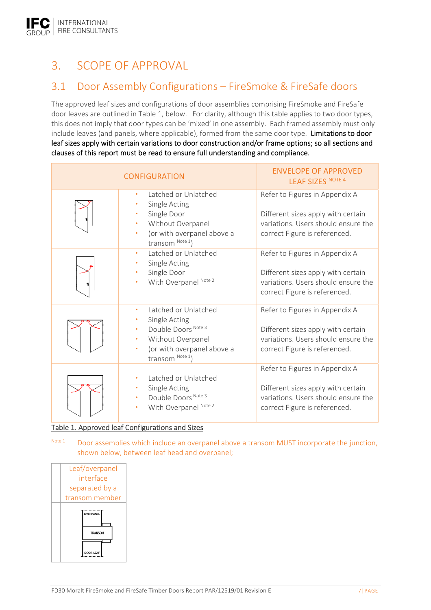# 3. SCOPE OF APPROVAL

# 3.1 Door Assembly Configurations – FireSmoke & FireSafe doors

The approved leaf sizes and configurations of door assemblies comprising FireSmoke and FireSafe door leaves are outlined in Table 1, below. For clarity, although this table applies to two door types, this does not imply that door types can be 'mixed' in one assembly. Each framed assembly must only include leaves (and panels, where applicable), formed from the same door type. Limitations to door leaf sizes apply with certain variations to door construction and/or frame options; so all sections and clauses of this report must be read to ensure full understanding and compliance.

| <b>CONFIGURATION</b>                                                                                                                              | <b>ENVELOPE OF APPROVED</b><br><b>LEAF SIZES NOTE 4</b>                                                                                      |
|---------------------------------------------------------------------------------------------------------------------------------------------------|----------------------------------------------------------------------------------------------------------------------------------------------|
| Latched or Unlatched<br>$\bullet$<br>Single Acting<br>Single Door<br>Without Overpanel<br>(or with overpanel above a<br>transom Note 1)           | Refer to Figures in Appendix A<br>Different sizes apply with certain<br>variations. Users should ensure the<br>correct Figure is referenced. |
| Latched or Unlatched<br>$\bullet$<br>Single Acting<br>Single Door<br>With Overpanel Note 2                                                        | Refer to Figures in Appendix A<br>Different sizes apply with certain<br>variations. Users should ensure the<br>correct Figure is referenced. |
| Latched or Unlatched<br>$\bullet$<br>Single Acting<br>Double Doors Note 3<br>Without Overpanel<br>(or with overpanel above a<br>transom $Note 1)$ | Refer to Figures in Appendix A<br>Different sizes apply with certain<br>variations. Users should ensure the<br>correct Figure is referenced. |
| Latched or Unlatched<br>Single Acting<br>Double Doors Note 3<br>With Overpanel Note 2                                                             | Refer to Figures in Appendix A<br>Different sizes apply with certain<br>variations. Users should ensure the<br>correct Figure is referenced. |

### Table 1. Approved leaf Configurations and Sizes

Note 1 Door assemblies which include an overpanel above a transom MUST incorporate the junction, shown below, between leaf head and overpanel;

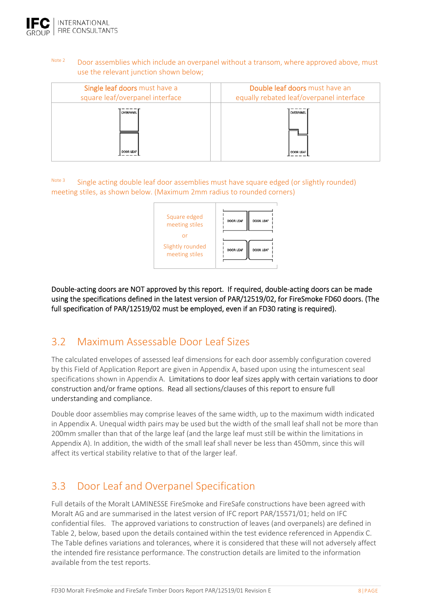

# Note 2 Door assemblies which include an overpanel without a transom, where approved above, must use the relevant junction shown below;

| Single leaf doors must have a   | Double leaf doors must have an           |
|---------------------------------|------------------------------------------|
| square leaf/overpanel interface | equally rebated leaf/overpanel interface |
| <b>OVERPANEL</b>                | OVERPANEL                                |
| DOOR LEAF                       | <b>DOOR LEAF</b>                         |

Note 3 Single acting double leaf door assemblies must have square edged (or slightly rounded) meeting stiles, as shown below. (Maximum 2mm radius to rounded corners)



Double-acting doors are NOT approved by this report. If required, double-acting doors can be made using the specifications defined in the latest version of PAR/12519/02, for FireSmoke FD60 doors. (The full specification of PAR/12519/02 must be employed, even if an FD30 rating is required).

# 3.2 Maximum Assessable Door Leaf Sizes

The calculated envelopes of assessed leaf dimensions for each door assembly configuration covered by this Field of Application Report are given in Appendix A, based upon using the intumescent seal specifications shown in Appendix A. Limitations to door leaf sizes apply with certain variations to door construction and/or frame options. Read all sections/clauses of this report to ensure full understanding and compliance.

Double door assemblies may comprise leaves of the same width, up to the maximum width indicated in Appendix A. Unequal width pairs may be used but the width of the small leaf shall not be more than 200mm smaller than that of the large leaf (and the large leaf must still be within the limitations in Appendix A). In addition, the width of the small leaf shall never be less than 450mm, since this will affect its vertical stability relative to that of the larger leaf.

# 3.3 Door Leaf and Overpanel Specification

Full details of the Moralt LAMINESSE FireSmoke and FireSafe constructions have been agreed with Moralt AG and are summarised in the latest version of IFC report PAR/15571/01; held on IFC confidential files. The approved variations to construction of leaves (and overpanels) are defined in Table 2, below, based upon the details contained within the test evidence referenced in Appendix C. The Table defines variations and tolerances, where it is considered that these will not adversely affect the intended fire resistance performance. The construction details are limited to the information available from the test reports.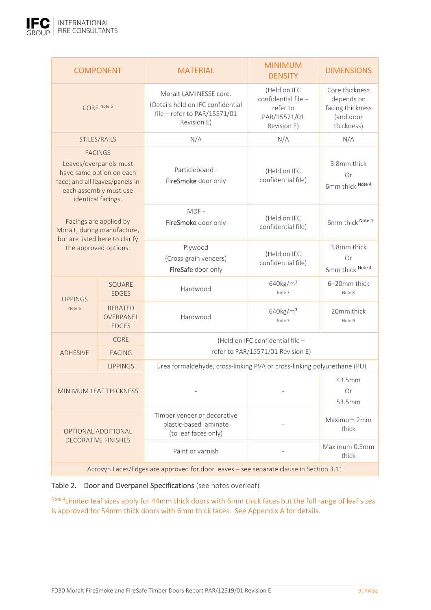

|                                                                                                                                                                                                                                                                            | <b>COMPONENT</b>       | <b>MATERIAL</b>                                                                                            | <b>MINIMUM</b><br><b>DENSITY</b>                                               | <b>DIMENSIONS</b>                                                           |  |
|----------------------------------------------------------------------------------------------------------------------------------------------------------------------------------------------------------------------------------------------------------------------------|------------------------|------------------------------------------------------------------------------------------------------------|--------------------------------------------------------------------------------|-----------------------------------------------------------------------------|--|
| CORE Note 5                                                                                                                                                                                                                                                                |                        | Moralt LAMINESSE core.<br>(Details held on IFC confidential<br>file - refer to PAR/15571/01<br>Revision E) | (Held on IFC<br>confidential file -<br>refer to<br>PAR/15571/01<br>Revision E) | Core thickness<br>depends on<br>facing thickness<br>(and door<br>thickness) |  |
|                                                                                                                                                                                                                                                                            | STILES/RAILS           | N/A                                                                                                        | N/A                                                                            | N/A                                                                         |  |
| <b>FACINGS</b><br>Leaves/overpanels must<br>have same option on each<br>face; and all leaves/panels in<br>each assembly must use<br>identical facings.<br>Facings are applied by<br>Moralt, during manufacture,<br>but are listed here to clarify<br>the approved options. |                        | Particleboard -<br>FireSmoke door only                                                                     | (Held on IFC<br>confidential file)                                             | 3.8mm thick<br>Or<br>6mm thick Note 4                                       |  |
|                                                                                                                                                                                                                                                                            |                        | MDF-<br>FireSmoke door only                                                                                | (Held on IFC<br>confidential file)                                             | 6mm thick Note 4                                                            |  |
|                                                                                                                                                                                                                                                                            |                        | Plywood<br>(Cross-grain veneers)<br>FireSafe door only                                                     | (Held on IFC<br>confidential file)                                             | 3.8mm thick<br>Or<br>6mm thick Note 4                                       |  |
| <b>LIPPINGS</b>                                                                                                                                                                                                                                                            | SQUARE<br><b>EDGES</b> | Hardwood                                                                                                   | $640$ kg/m <sup>3</sup><br>Note 7                                              | 6-20mm thick<br>Note 8                                                      |  |
| <b>REBATED</b><br>Note 6<br>OVERPANEL<br><b>EDGES</b>                                                                                                                                                                                                                      |                        | Hardwood                                                                                                   | 640kg/m <sup>3</sup><br>Note 7                                                 | 20mm thick<br>Note 9                                                        |  |
|                                                                                                                                                                                                                                                                            | <b>CORE</b>            |                                                                                                            | (Held on IFC confidential file -                                               |                                                                             |  |
| <b>ADHESIVE</b>                                                                                                                                                                                                                                                            | <b>FACING</b>          | refer to PAR/15571/01 Revision E)                                                                          |                                                                                |                                                                             |  |
|                                                                                                                                                                                                                                                                            | <b>LIPPINGS</b>        | Urea formaldehyde, cross-linking PVA or cross-linking polyurethane (PU)                                    |                                                                                |                                                                             |  |
| <b>MINIMUM LEAF THICKNESS</b>                                                                                                                                                                                                                                              |                        |                                                                                                            |                                                                                | 43.5mm<br>Or<br>53.5mm                                                      |  |
| OPTIONAL ADDITIONAL<br><b>DECORATIVE FINISHES</b>                                                                                                                                                                                                                          |                        | Timber veneer or decorative<br>plastic-based laminate<br>(to leaf faces only)                              |                                                                                | Maximum 2mm<br>thick                                                        |  |
|                                                                                                                                                                                                                                                                            |                        | Paint or varnish                                                                                           |                                                                                | Maximum 0.5mm<br>thick                                                      |  |
| Acrovyn Faces/Edges are approved for door leaves - see separate clause in Section 3.11                                                                                                                                                                                     |                        |                                                                                                            |                                                                                |                                                                             |  |

### Table 2. Door and Overpanel Specifications (see notes overleaf)

Note 4Limited leaf sizes apply for 44mm thick doors with 6mm thick faces but the full range of leaf sizes is approved for 54mm thick doors with 6mm thick faces. See Appendix A for details.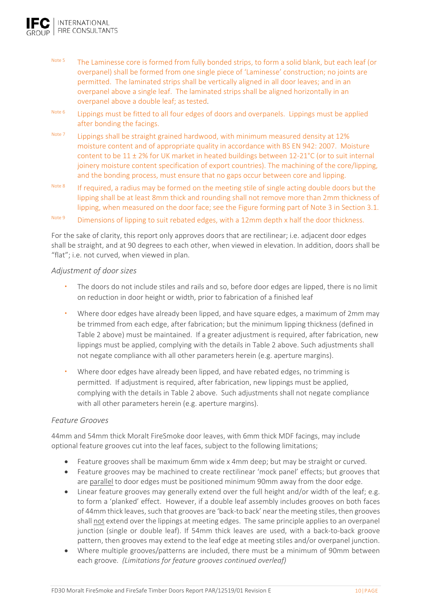

- Note 5 The Laminesse core is formed from fully bonded strips, to form a solid blank, but each leaf (or overpanel) shall be formed from one single piece of 'Laminesse' construction; no joints are permitted. The laminated strips shall be vertically aligned in all door leaves; and in an overpanel above a single leaf. The laminated strips shall be aligned horizontally in an overpanel above a double leaf; as tested.
- Note 6 **Lippings must be fitted to all four edges of doors and overpanels. Lippings must be applied** after bonding the facings.
- Note 7 **Lippings shall be straight grained hardwood, with minimum measured density at 12%** moisture content and of appropriate quality in accordance with BS EN 942: 2007. Moisture content to be  $11 \pm 2\%$  for UK market in heated buildings between  $12{\text -}21\degree$ C (or to suit internal joinery moisture content specification of export countries). The machining of the core/lipping, and the bonding process, must ensure that no gaps occur between core and lipping.
- Note 8 If required, a radius may be formed on the meeting stile of single acting double doors but the lipping shall be at least 8mm thick and rounding shall not remove more than 2mm thickness of lipping, when measured on the door face; see the Figure forming part of Note 3 in Section 3.1.

# Note 9 Dimensions of lipping to suit rebated edges, with a 12mm depth x half the door thickness.

For the sake of clarity, this report only approves doors that are rectilinear; i.e. adjacent door edges shall be straight, and at 90 degrees to each other, when viewed in elevation. In addition, doors shall be "flat"; i.e. not curved, when viewed in plan.

#### *Adjustment of door sizes*

- The doors do not include stiles and rails and so, before door edges are lipped, there is no limit on reduction in door height or width, prior to fabrication of a finished leaf
- Where door edges have already been lipped, and have square edges, a maximum of 2mm may be trimmed from each edge, after fabrication; but the minimum lipping thickness (defined in Table 2 above) must be maintained. If a greater adjustment is required, after fabrication, new lippings must be applied, complying with the details in Table 2 above. Such adjustments shall not negate compliance with all other parameters herein (e.g. aperture margins).
- Where door edges have already been lipped, and have rebated edges, no trimming is permitted. If adjustment is required, after fabrication, new lippings must be applied, complying with the details in Table 2 above. Such adjustments shall not negate compliance with all other parameters herein (e.g. aperture margins).

#### *Feature Grooves*

44mm and 54mm thick Moralt FireSmoke door leaves, with 6mm thick MDF facings, may include optional feature grooves cut into the leaf faces, subject to the following limitations;

- Feature grooves shall be maximum 6mm wide x 4mm deep; but may be straight or curved.
- Feature grooves may be machined to create rectilinear 'mock panel' effects; but grooves that are parallel to door edges must be positioned minimum 90mm away from the door edge.
- Linear feature grooves may generally extend over the full height and/or width of the leaf; e.g. to form a 'planked' effect. However, if a double leaf assembly includes grooves on both faces of 44mm thick leaves, such that grooves are 'back‐to back' near the meeting stiles, then grooves shall not extend over the lippings at meeting edges. The same principle applies to an overpanel junction (single or double leaf). If 54mm thick leaves are used, with a back-to-back groove pattern, then grooves may extend to the leaf edge at meeting stiles and/or overpanel junction.
- Where multiple grooves/patterns are included, there must be a minimum of 90mm between each groove. (Limitations for feature grooves continued overleaf)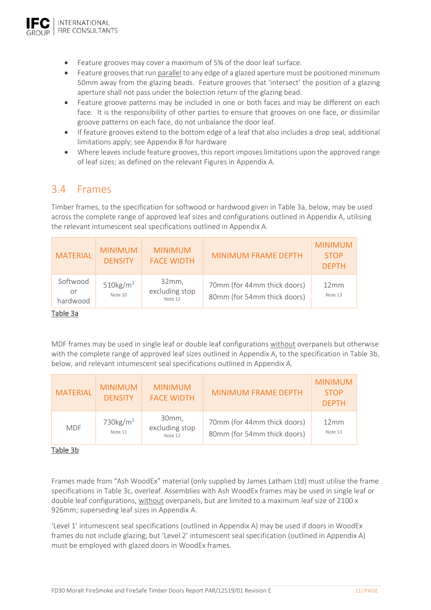

- Feature grooves may cover a maximum of 5% of the door leaf surface.
- Feature grooves that run parallel to any edge of a glazed aperture must be positioned minimum 50mm away from the glazing beads. Feature grooves that 'intersect' the position of a glazing aperture shall not pass under the bolection return of the glazing bead.
- Feature groove patterns may be included in one or both faces and may be different on each face. It is the responsibility of other parties to ensure that grooves on one face, or dissimilar groove patterns on each face, do not unbalance the door leaf.
- If feature grooves extend to the bottom edge of a leaf that also includes a drop seal, additional limitations apply; see Appendix B for hardware
- Where leaves include feature grooves, this report imposes limitations upon the approved range of leaf sizes; as defined on the relevant Figures in Appendix A.

# 3.4 Frames

Timber frames, to the specification for softwood or hardwood given in Table 3a, below, may be used across the complete range of approved leaf sizes and configurations outlined in Appendix A, utilising the relevant intumescent seal specifications outlined in Appendix A.

| <b>MATERIAL</b>            | <b>MINIMUM</b><br><b>DENSITY</b> | <b>MINIMUM</b><br><b>FACE WIDTH</b> | <b>MINIMUM FRAME DEPTH</b>                                 | <b>MINIMUM</b><br><b>STOP</b><br><b>DEPTH</b> |
|----------------------------|----------------------------------|-------------------------------------|------------------------------------------------------------|-----------------------------------------------|
| Softwood<br>or<br>hardwood | $510\mathrm{kg/m}^3$<br>Note 10  | 32mm,<br>excluding stop<br>Note 12  | 70mm (for 44mm thick doors)<br>80mm (for 54mm thick doors) | 12mm<br>Note 13                               |

### Table 3a

MDF frames may be used in single leaf or double leaf configurations without overpanels but otherwise with the complete range of approved leaf sizes outlined in Appendix A, to the specification in Table 3b, below, and relevant intumescent seal specifications outlined in Appendix A.

| <b>MATERIAL</b> | <b>MINIMUM</b><br><b>DENSITY</b> | <b>MINIMUM</b><br><b>FACE WIDTH</b> | <b>MINIMUM FRAME DEPTH</b>                                 | <b>MINIMUM</b><br><b>STOP</b><br><b>DEPTH</b> |
|-----------------|----------------------------------|-------------------------------------|------------------------------------------------------------|-----------------------------------------------|
| <b>MDF</b>      | 730 $kg/m3$<br>Note 11           | 30mm,<br>excluding stop<br>Note 12  | 70mm (for 44mm thick doors)<br>80mm (for 54mm thick doors) | 12mm<br>Note 13                               |

### Table 3b

Frames made from "Ash WoodEx" material (only supplied by James Latham Ltd) must utilise the frame specifications in Table 3c, overleaf. Assemblies with Ash WoodEx frames may be used in single leaf or double leaf configurations, without overpanels, but are limited to a maximum leaf size of 2100 x 926mm; superseding leaf sizes in Appendix A.

'Level 1' intumescent seal specifications (outlined in Appendix A) may be used if doors in WoodEx frames do not include glazing; but 'Level 2' intumescent seal specification (outlined in Appendix A) must be employed with glazed doors in WoodEx frames.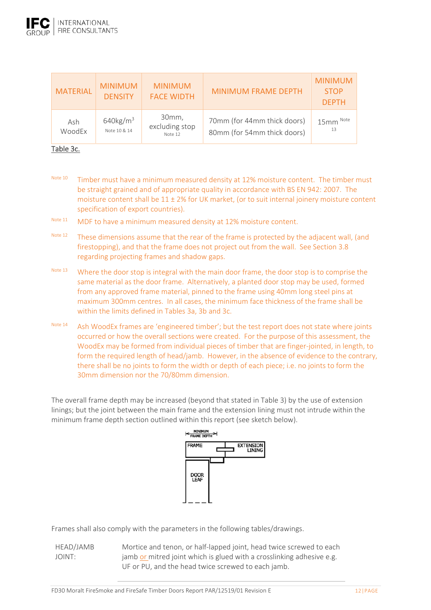| <b>MATERIAL</b> | <b>MINIMUM</b><br><b>DENSITY</b>        | <b>MINIMUM</b><br><b>FACE WIDTH</b> | <b>MINIMUM FRAME DEPTH</b>                                 | <b>MINIMUM</b><br><b>STOP</b><br><b>DEPTH</b> |
|-----------------|-----------------------------------------|-------------------------------------|------------------------------------------------------------|-----------------------------------------------|
| Ash<br>WoodEx   | $640$ kg/m <sup>3</sup><br>Note 10 & 14 | 30mm,<br>excluding stop<br>Note 12  | 70mm (for 44mm thick doors)<br>80mm (for 54mm thick doors) | 15mm Note<br>13                               |

#### Table 3c.

Note 10 Timber must have a minimum measured density at 12% moisture content. The timber must be straight grained and of appropriate quality in accordance with BS EN 942: 2007. The moisture content shall be  $11 \pm 2\%$  for UK market, (or to suit internal joinery moisture content specification of export countries).

- Note 11 MDF to have a minimum measured density at 12% moisture content.
- Note 12 These dimensions assume that the rear of the frame is protected by the adjacent wall, (and firestopping), and that the frame does not project out from the wall. See Section 3.8 regarding projecting frames and shadow gaps.
- Note 13 Where the door stop is integral with the main door frame, the door stop is to comprise the same material as the door frame. Alternatively, a planted door stop may be used, formed from any approved frame material, pinned to the frame using 40mm long steel pins at maximum 300mm centres. In all cases, the minimum face thickness of the frame shall be within the limits defined in Tables 3a, 3b and 3c.
- Note 14 Ash WoodEx frames are 'engineered timber'; but the test report does not state where joints occurred or how the overall sections were created. For the purpose of this assessment, the WoodEx may be formed from individual pieces of timber that are finger-jointed, in length, to form the required length of head/jamb. However, in the absence of evidence to the contrary, there shall be no joints to form the width or depth of each piece; i.e. no joints to form the 30mm dimension nor the 70/80mm dimension.

The overall frame depth may be increased (beyond that stated in Table 3) by the use of extension linings; but the joint between the main frame and the extension lining must not intrude within the minimum frame depth section outlined within this report (see sketch below).



Frames shall also comply with the parameters in the following tables/drawings.

HEAD/JAMB JOINT: Mortice and tenon, or half‐lapped joint, head twice screwed to each jamb or mitred joint which is glued with a crosslinking adhesive e.g. UF or PU, and the head twice screwed to each jamb.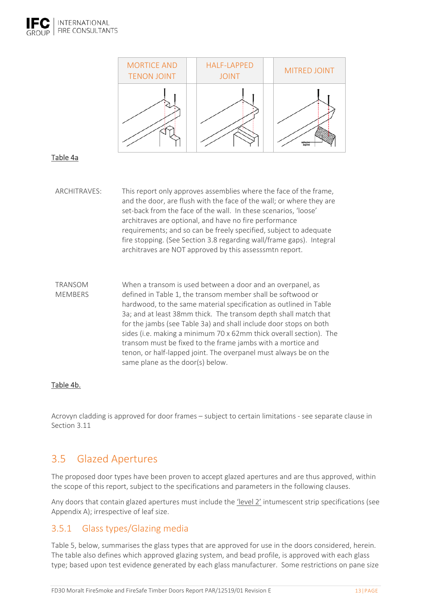



### Table 4a

- ARCHITRAVES: This report only approves assemblies where the face of the frame, and the door, are flush with the face of the wall; or where they are set-back from the face of the wall. In these scenarios, 'loose' architraves are optional, and have no fire performance requirements; and so can be freely specified, subject to adequate fire stopping. (See Section 3.8 regarding wall/frame gaps). Integral architraves are NOT approved by this assesssmtn report.
- TRANSOM MEMBERS When a transom is used between a door and an overpanel, as defined in Table 1, the transom member shall be softwood or hardwood, to the same material specification as outlined in Table 3a; and at least 38mm thick. The transom depth shall match that for the jambs (see Table 3a) and shall include door stops on both sides (i.e. making a minimum 70 x 62mm thick overall section). The transom must be fixed to the frame jambs with a mortice and tenon, or half‐lapped joint. The overpanel must always be on the same plane as the door(s) below.

### Table 4b.

Acrovyn cladding is approved for door frames – subject to certain limitations ‐ see separate clause in Section 3.11

# 3.5 Glazed Apertures

The proposed door types have been proven to accept glazed apertures and are thus approved, within the scope of this report, subject to the specifications and parameters in the following clauses.

Any doors that contain glazed apertures must include the 'level 2' intumescent strip specifications (see Appendix A); irrespective of leaf size.

# 3.5.1 Glass types/Glazing media

Table 5, below, summarises the glass types that are approved for use in the doors considered, herein. The table also defines which approved glazing system, and bead profile, is approved with each glass type; based upon test evidence generated by each glass manufacturer. Some restrictions on pane size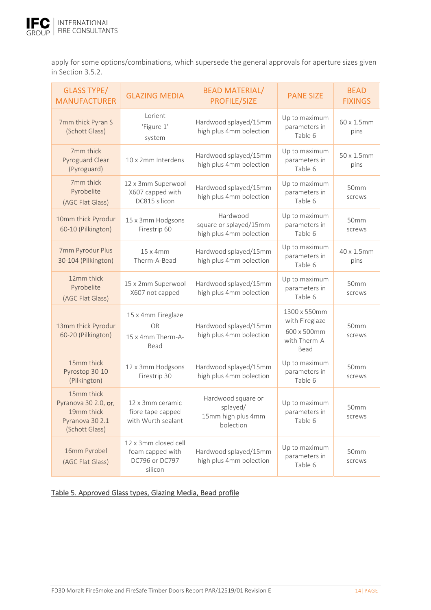

apply for some options/combinations, which supersede the general approvals for aperture sizes given in Section 3.5.2.

| <b>GLASS TYPE/</b><br><b>MANUFACTURER</b>                                             | <b>GLAZING MEDIA</b>                                                  | <b>BEAD MATERIAL/</b><br><b>PROFILE/SIZE</b>                      | <b>PANE SIZE</b>                                                       | <b>BEAD</b><br><b>FIXINGS</b> |
|---------------------------------------------------------------------------------------|-----------------------------------------------------------------------|-------------------------------------------------------------------|------------------------------------------------------------------------|-------------------------------|
| 7mm thick Pyran S<br>(Schott Glass)                                                   | Lorient<br>'Figure 1'<br>system                                       | Hardwood splayed/15mm<br>high plus 4mm bolection                  | Up to maximum<br>parameters in<br>Table 6                              | 60 x 1.5mm<br>pins            |
| 7mm thick<br>Pyroguard Clear<br>(Pyroguard)                                           | 10 x 2mm Interdens                                                    | Hardwood splayed/15mm<br>high plus 4mm bolection                  | Up to maximum<br>parameters in<br>Table 6                              | 50 x 1.5mm<br>pins            |
| 7mm thick<br>Pyrobelite<br>(AGC Flat Glass)                                           | 12 x 3mm Superwool<br>X607 capped with<br>DC815 silicon               | Hardwood splayed/15mm<br>high plus 4mm bolection                  | Up to maximum<br>parameters in<br>Table 6                              | 50mm<br>screws                |
| 10mm thick Pyrodur<br>60-10 (Pilkington)                                              | 15 x 3mm Hodgsons<br>Firestrip 60                                     | Hardwood<br>square or splayed/15mm<br>high plus 4mm bolection     | Up to maximum<br>parameters in<br>Table 6                              | 50 <sub>mm</sub><br>screws    |
| 7mm Pyrodur Plus<br>30-104 (Pilkington)                                               | 15 x 4mm<br>Therm-A-Bead                                              | Hardwood splayed/15mm<br>high plus 4mm bolection                  | Up to maximum<br>parameters in<br>Table 6                              | 40 x 1.5mm<br>pins            |
| 12mm thick<br>Pyrobelite<br>(AGC Flat Glass)                                          | 15 x 2mm Superwool<br>X607 not capped                                 | Hardwood splayed/15mm<br>high plus 4mm bolection                  | Up to maximum<br>parameters in<br>Table 6                              | 50mm<br>screws                |
| 13mm thick Pyrodur<br>60-20 (Pilkington)                                              | 15 x 4mm Fireglaze<br><b>OR</b><br>15 x 4mm Therm-A-<br>Bead          | Hardwood splayed/15mm<br>high plus 4mm bolection                  | 1300 x 550mm<br>with Fireglaze<br>600 x 500mm<br>with Therm-A-<br>Bead | 50mm<br>screws                |
| 15mm thick<br>Pyrostop 30-10<br>(Pilkington)                                          | 12 x 3mm Hodgsons<br>Firestrip 30                                     | Hardwood splayed/15mm<br>high plus 4mm bolection                  | Up to maximum<br>parameters in<br>Table 6                              | 50mm<br>screws                |
| 15mm thick<br>Pyranova 30 2.0, or,<br>19mm thick<br>Pyranova 30 2.1<br>(Schott Glass) | 12 x 3mm ceramic<br>fibre tape capped<br>with Wurth sealant           | Hardwood square or<br>splayed/<br>15mm high plus 4mm<br>bolection | Up to maximum<br>parameters in<br>Table 6                              | 50mm<br>screws                |
| 16mm Pyrobel<br>(AGC Flat Glass)                                                      | 12 x 3mm closed cell<br>foam capped with<br>DC796 or DC797<br>silicon | Hardwood splayed/15mm<br>high plus 4mm bolection                  | Up to maximum<br>parameters in<br>Table 6                              | 50mm<br>screws                |

### Table 5. Approved Glass types, Glazing Media, Bead profile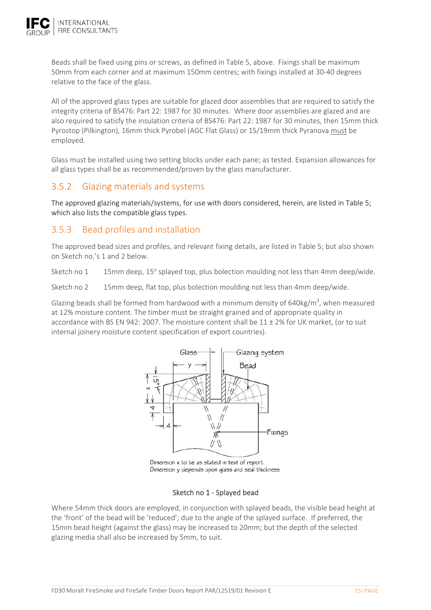

Beads shall be fixed using pins or screws, as defined in Table 5, above. Fixings shall be maximum 50mm from each corner and at maximum 150mm centres; with fixings installed at 30‐40 degrees relative to the face of the glass.

All of the approved glass types are suitable for glazed door assemblies that are required to satisfy the integrity criteria of BS476: Part 22: 1987 for 30 minutes. Where door assemblies are glazed and are also required to satisfy the insulation criteria of BS476: Part 22: 1987 for 30 minutes, then 15mm thick Pyrostop (Pilkington), 16mm thick Pyrobel (AGC Flat Glass) or 15/19mm thick Pyranova must be employed.

Glass must be installed using two setting blocks under each pane; as tested. Expansion allowances for all glass types shall be as recommended/proven by the glass manufacturer.

# 3.5.2 Glazing materials and systems

The approved glazing materials/systems, for use with doors considered, herein, are listed in Table 5; which also lists the compatible glass types.

# 3.5.3 Bead profiles and installation

The approved bead sizes and profiles, and relevant fixing details, are listed in Table 5; but also shown on Sketch no.'s 1 and 2 below.

Sketch no  $1 \qquad 15$ mm deep, 15° splayed top, plus bolection moulding not less than 4mm deep/wide.

Sketch no 2 15mm deep, flat top, plus bolection moulding not less than 4mm deep/wide.

Glazing beads shall be formed from hardwood with a minimum density of  $640$ kg/m<sup>3</sup>, when measured at 12% moisture content. The timber must be straight grained and of appropriate quality in accordance with BS EN 942: 2007. The moisture content shall be 11 ± 2% for UK market, (or to suit internal joinery moisture content specification of export countries).



Dimension x to be as stated in text of report. Dimension y depends upon glass and seal thickness

#### Sketch no 1 ‐ Splayed bead

Where 54mm thick doors are employed, in conjunction with splayed beads, the visible bead height at the 'front' of the bead will be 'reduced'; due to the angle of the splayed surface. If preferred, the 15mm bead height (against the glass) may be increased to 20mm; but the depth of the selected glazing media shall also be increased by 5mm, to suit.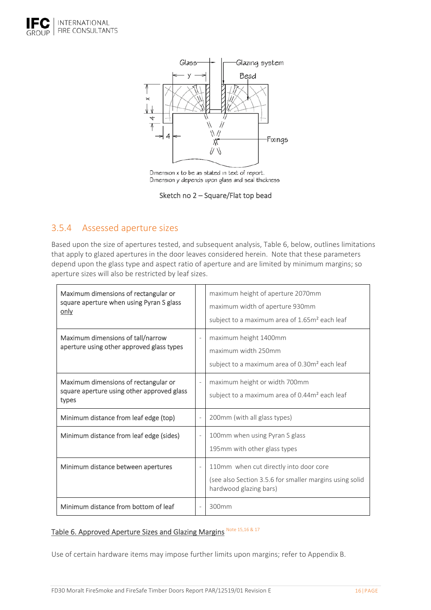



Dimension x to be as stated in text of report. Dimension y depends upon glass and seal thickness

Sketch no 2 – Square/Flat top bead

# 3.5.4 Assessed aperture sizes

Based upon the size of apertures tested, and subsequent analysis, Table 6, below, outlines limitations that apply to glazed apertures in the door leaves considered herein. Note that these parameters depend upon the glass type and aspect ratio of aperture and are limited by minimum margins; so aperture sizes will also be restricted by leaf sizes.

| Maximum dimensions of rectangular or<br>square aperture when using Pyran S glass<br>only    |                          | maximum height of aperture 2070mm<br>maximum width of aperture 930mm<br>subject to a maximum area of 1.65m <sup>2</sup> each leaf |
|---------------------------------------------------------------------------------------------|--------------------------|-----------------------------------------------------------------------------------------------------------------------------------|
| Maximum dimensions of tall/narrow<br>aperture using other approved glass types              | $\overline{\phantom{a}}$ | maximum height 1400mm<br>maximum width 250mm<br>subject to a maximum area of 0.30m <sup>2</sup> each leaf                         |
| Maximum dimensions of rectangular or<br>square aperture using other approved glass<br>types | $\overline{\phantom{0}}$ | maximum height or width 700mm<br>subject to a maximum area of 0.44m <sup>2</sup> each leaf                                        |
| Minimum distance from leaf edge (top)                                                       | $\overline{a}$           | 200mm (with all glass types)                                                                                                      |
| Minimum distance from leaf edge (sides)                                                     | $\overline{\phantom{a}}$ | 100mm when using Pyran S glass<br>195mm with other glass types                                                                    |
| Minimum distance between apertures                                                          | $\frac{1}{2}$            | 110mm when cut directly into door core<br>(see also Section 3.5.6 for smaller margins using solid<br>hardwood glazing bars)       |
| Minimum distance from bottom of leaf                                                        | $\qquad \qquad -$        | 300mm                                                                                                                             |

# Table 6. Approved Aperture Sizes and Glazing Margins Note 15,16 & 17

Use of certain hardware items may impose further limits upon margins; refer to Appendix B.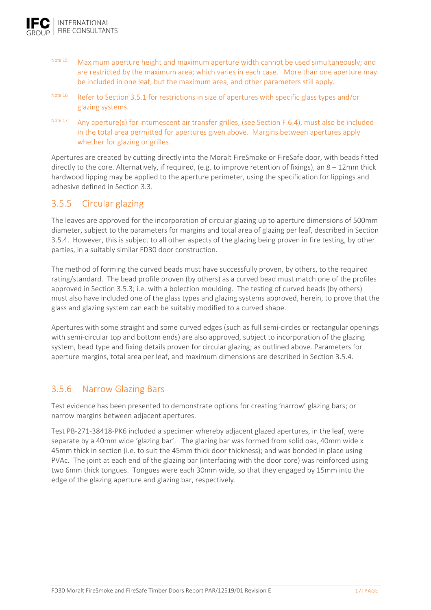

- Note 15 Maximum aperture height and maximum aperture width cannot be used simultaneously; and are restricted by the maximum area; which varies in each case. More than one aperture may be included in one leaf, but the maximum area, and other parameters still apply.
- Note 16 Refer to Section 3.5.1 for restrictions in size of apertures with specific glass types and/or glazing systems.
- Note 17 Any aperture(s) for intumescent air transfer grilles, (see Section F.6.4), must also be included in the total area permitted for apertures given above. Margins between apertures apply whether for glazing or grilles.

Apertures are created by cutting directly into the Moralt FireSmoke or FireSafe door, with beads fitted directly to the core. Alternatively, if required, (e.g. to improve retention of fixings), an 8 – 12mm thick hardwood lipping may be applied to the aperture perimeter, using the specification for lippings and adhesive defined in Section 3.3.

# 3.5.5 Circular glazing

The leaves are approved for the incorporation of circular glazing up to aperture dimensions of 500mm diameter, subject to the parameters for margins and total area of glazing per leaf, described in Section 3.5.4. However, this is subject to all other aspects of the glazing being proven in fire testing, by other parties, in a suitably similar FD30 door construction.

The method of forming the curved beads must have successfully proven, by others, to the required rating/standard. The bead profile proven (by others) as a curved bead must match one of the profiles approved in Section 3.5.3; i.e. with a bolection moulding. The testing of curved beads (by others) must also have included one of the glass types and glazing systems approved, herein, to prove that the glass and glazing system can each be suitably modified to a curved shape.

Apertures with some straight and some curved edges (such as full semi‐circles or rectangular openings with semi-circular top and bottom ends) are also approved, subject to incorporation of the glazing system, bead type and fixing details proven for circular glazing; as outlined above. Parameters for aperture margins, total area per leaf, and maximum dimensions are described in Section 3.5.4.

# 3.5.6 Narrow Glazing Bars

Test evidence has been presented to demonstrate options for creating 'narrow' glazing bars; or narrow margins between adjacent apertures.

Test PB‐271‐38418‐PK6 included a specimen whereby adjacent glazed apertures, in the leaf, were separate by a 40mm wide 'glazing bar'. The glazing bar was formed from solid oak, 40mm wide x 45mm thick in section (i.e. to suit the 45mm thick door thickness); and was bonded in place using PVAc. The joint at each end of the glazing bar (interfacing with the door core) was reinforced using two 6mm thick tongues. Tongues were each 30mm wide, so that they engaged by 15mm into the edge of the glazing aperture and glazing bar, respectively.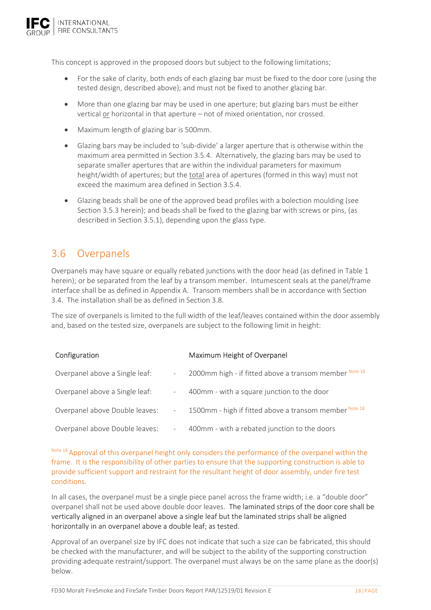

This concept is approved in the proposed doors but subject to the following limitations;

- For the sake of clarity, both ends of each glazing bar must be fixed to the door core (using the tested design, described above); and must not be fixed to another glazing bar.
- More than one glazing bar may be used in one aperture; but glazing bars must be either vertical or horizontal in that aperture – not of mixed orientation, nor crossed.
- Maximum length of glazing bar is 500mm.
- Glazing bars may be included to 'sub-divide' a larger aperture that is otherwise within the maximum area permitted in Section 3.5.4. Alternatively, the glazing bars may be used to separate smaller apertures that are within the individual parameters for maximum height/width of apertures; but the total area of apertures (formed in this way) must not exceed the maximum area defined in Section 3.5.4.
- Glazing beads shall be one of the approved bead profiles with a bolection moulding (see Section 3.5.3 herein); and beads shall be fixed to the glazing bar with screws or pins, (as described in Section 3.5.1), depending upon the glass type.

# 3.6 Overpanels

Overpanels may have square or equally rebated junctions with the door head (as defined in Table 1 herein); or be separated from the leaf by a transom member. Intumescent seals at the panel/frame interface shall be as defined in Appendix A. Transom members shall be in accordance with Section 3.4. The installation shall be as defined in Section 3.8.

The size of overpanels is limited to the full width of the leaf/leaves contained within the door assembly and, based on the tested size, overpanels are subject to the following limit in height:

| Configuration                  |                          | Maximum Height of Overpanel                            |
|--------------------------------|--------------------------|--------------------------------------------------------|
| Overpanel above a Single leaf: |                          | 2000mm high - if fitted above a transom member Note 18 |
| Overpanel above a Single leaf: | $\sim$                   | 400mm - with a square junction to the door             |
| Overpanel above Double leaves: | $\overline{\phantom{a}}$ | 1500mm - high if fitted above a transom member Note 18 |
| Overpanel above Double leaves: | -                        | 400mm - with a rebated junction to the doors           |

Note 18 Approval of this overpanel height only considers the performance of the overpanel within the frame. It is the responsibility of other parties to ensure that the supporting construction is able to provide sufficient support and restraint for the resultant height of door assembly, under fire test conditions.

In all cases, the overpanel must be a single piece panel across the frame width; i.e. a "double door" overpanel shall not be used above double door leaves. The laminated strips of the door core shall be vertically aligned in an overpanel above a single leaf but the laminated strips shall be aligned horizontally in an overpanel above a double leaf; as tested.

Approval of an overpanel size by IFC does not indicate that such a size can be fabricated, this should be checked with the manufacturer, and will be subject to the ability of the supporting construction providing adequate restraint/support. The overpanel must always be on the same plane as the door(s) below.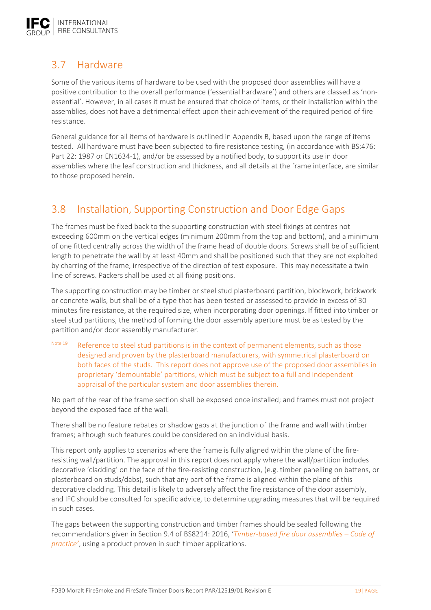

# 3.7 Hardware

Some of the various items of hardware to be used with the proposed door assemblies will have a positive contribution to the overall performance ('essential hardware') and others are classed as 'non‐ essential'. However, in all cases it must be ensured that choice of items, or their installation within the assemblies, does not have a detrimental effect upon their achievement of the required period of fire resistance.

General guidance for all items of hardware is outlined in Appendix B, based upon the range of items tested. All hardware must have been subjected to fire resistance testing, (in accordance with BS:476: Part 22: 1987 or EN1634‐1), and/or be assessed by a notified body, to support its use in door assemblies where the leaf construction and thickness, and all details at the frame interface, are similar to those proposed herein.

# 3.8 Installation, Supporting Construction and Door Edge Gaps

The frames must be fixed back to the supporting construction with steel fixings at centres not exceeding 600mm on the vertical edges (minimum 200mm from the top and bottom), and a minimum of one fitted centrally across the width of the frame head of double doors. Screws shall be of sufficient length to penetrate the wall by at least 40mm and shall be positioned such that they are not exploited by charring of the frame, irrespective of the direction of test exposure. This may necessitate a twin line of screws. Packers shall be used at all fixing positions.

The supporting construction may be timber or steel stud plasterboard partition, blockwork, brickwork or concrete walls, but shall be of a type that has been tested or assessed to provide in excess of 30 minutes fire resistance, at the required size, when incorporating door openings. If fitted into timber or steel stud partitions, the method of forming the door assembly aperture must be as tested by the partition and/or door assembly manufacturer.

Note 19 Reference to steel stud partitions is in the context of permanent elements, such as those designed and proven by the plasterboard manufacturers, with symmetrical plasterboard on both faces of the studs. This report does not approve use of the proposed door assemblies in proprietary 'demountable' partitions, which must be subject to a full and independent appraisal of the particular system and door assemblies therein.

No part of the rear of the frame section shall be exposed once installed; and frames must not project beyond the exposed face of the wall.

There shall be no feature rebates or shadow gaps at the junction of the frame and wall with timber frames; although such features could be considered on an individual basis.

This report only applies to scenarios where the frame is fully aligned within the plane of the fire‐ resisting wall/partition. The approval in this report does not apply where the wall/partition includes decorative 'cladding' on the face of the fire‐resisting construction, (e.g. timber panelling on battens, or plasterboard on studs/dabs), such that any part of the frame is aligned within the plane of this decorative cladding. This detail is likely to adversely affect the fire resistance of the door assembly, and IFC should be consulted for specific advice, to determine upgrading measures that will be required in such cases.

The gaps between the supporting construction and timber frames should be sealed following the recommendations given in Section 9.4 of BS8214: 2016, '*Timber‐based fire door assemblies – Code of practice'*, using a product proven in such timber applications.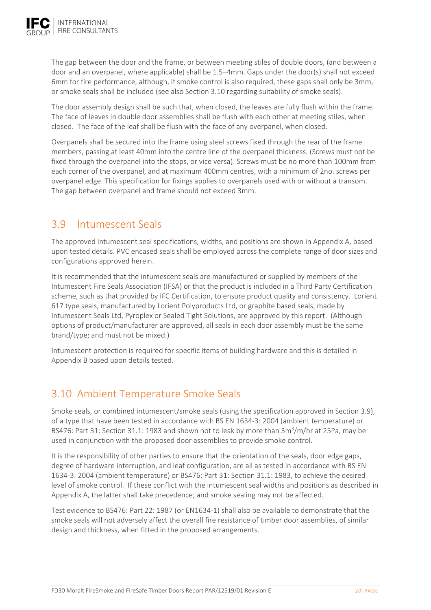

The gap between the door and the frame, or between meeting stiles of double doors, (and between a door and an overpanel, where applicable) shall be 1.5–4mm. Gaps under the door(s) shall not exceed 6mm for fire performance, although, if smoke control is also required, these gaps shall only be 3mm, or smoke seals shall be included (see also Section 3.10 regarding suitability of smoke seals).

The door assembly design shall be such that, when closed, the leaves are fully flush within the frame. The face of leaves in double door assemblies shall be flush with each other at meeting stiles, when closed. The face of the leaf shall be flush with the face of any overpanel, when closed.

Overpanels shall be secured into the frame using steel screws fixed through the rear of the frame members, passing at least 40mm into the centre line of the overpanel thickness. (Screws must not be fixed through the overpanel into the stops, or vice versa). Screws must be no more than 100mm from each corner of the overpanel, and at maximum 400mm centres, with a minimum of 2no. screws per overpanel edge. This specification for fixings applies to overpanels used with or without a transom. The gap between overpanel and frame should not exceed 3mm.

# 3.9 Intumescent Seals

The approved intumescent seal specifications, widths, and positions are shown in Appendix A, based upon tested details. PVC encased seals shall be employed across the complete range of door sizes and configurations approved herein.

It is recommended that the intumescent seals are manufactured or supplied by members of the Intumescent Fire Seals Association (IFSA) or that the product is included in a Third Party Certification scheme, such as that provided by IFC Certification, to ensure product quality and consistency. Lorient 617 type seals, manufactured by Lorient Polyproducts Ltd, or graphite based seals, made by Intumescent Seals Ltd, Pyroplex or Sealed Tight Solutions, are approved by this report. (Although options of product/manufacturer are approved, all seals in each door assembly must be the same brand/type; and must not be mixed.)

Intumescent protection is required for specific items of building hardware and this is detailed in Appendix B based upon details tested.

# 3.10 Ambient Temperature Smoke Seals

Smoke seals, or combined intumescent/smoke seals (using the specification approved in Section 3.9), of a type that have been tested in accordance with BS EN 1634‐3: 2004 (ambient temperature) or BS476: Part 31: Section 31.1: 1983 and shown not to leak by more than 3m<sup>3</sup>/m/hr at 25Pa, may be used in conjunction with the proposed door assemblies to provide smoke control.

It is the responsibility of other parties to ensure that the orientation of the seals, door edge gaps, degree of hardware interruption, and leaf configuration, are all as tested in accordance with BS EN 1634‐3: 2004 (ambient temperature) or BS476: Part 31: Section 31.1: 1983, to achieve the desired level of smoke control. If these conflict with the intumescent seal widths and positions as described in Appendix A, the latter shall take precedence; and smoke sealing may not be affected.

Test evidence to BS476: Part 22: 1987 (or EN1634‐1) shall also be available to demonstrate that the smoke seals will not adversely affect the overall fire resistance of timber door assemblies, of similar design and thickness, when fitted in the proposed arrangements.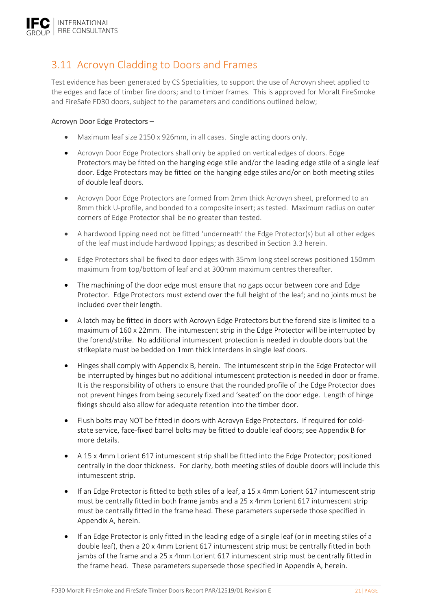# 3.11 Acrovyn Cladding to Doors and Frames

Test evidence has been generated by CS Specialities, to support the use of Acrovyn sheet applied to the edges and face of timber fire doors; and to timber frames. This is approved for Moralt FireSmoke and FireSafe FD30 doors, subject to the parameters and conditions outlined below;

### Acrovyn Door Edge Protectors –

- Maximum leaf size 2150 x 926mm, in all cases. Single acting doors only.
- Acrovyn Door Edge Protectors shall only be applied on vertical edges of doors. Edge Protectors may be fitted on the hanging edge stile and/or the leading edge stile of a single leaf door. Edge Protectors may be fitted on the hanging edge stiles and/or on both meeting stiles of double leaf doors.
- Acrovyn Door Edge Protectors are formed from 2mm thick Acrovyn sheet, preformed to an 8mm thick U‐profile, and bonded to a composite insert; as tested. Maximum radius on outer corners of Edge Protector shall be no greater than tested.
- A hardwood lipping need not be fitted 'underneath' the Edge Protector(s) but all other edges of the leaf must include hardwood lippings; as described in Section 3.3 herein.
- Edge Protectors shall be fixed to door edges with 35mm long steel screws positioned 150mm maximum from top/bottom of leaf and at 300mm maximum centres thereafter.
- The machining of the door edge must ensure that no gaps occur between core and Edge Protector. Edge Protectors must extend over the full height of the leaf; and no joints must be included over their length.
- A latch may be fitted in doors with Acrovyn Edge Protectors but the forend size is limited to a maximum of 160 x 22mm. The intumescent strip in the Edge Protector will be interrupted by the forend/strike. No additional intumescent protection is needed in double doors but the strikeplate must be bedded on 1mm thick Interdens in single leaf doors.
- Hinges shall comply with Appendix B, herein. The intumescent strip in the Edge Protector will be interrupted by hinges but no additional intumescent protection is needed in door or frame. It is the responsibility of others to ensure that the rounded profile of the Edge Protector does not prevent hinges from being securely fixed and 'seated' on the door edge. Length of hinge fixings should also allow for adequate retention into the timber door.
- Flush bolts may NOT be fitted in doors with Acrovyn Edge Protectors. If required for cold‐ state service, face‐fixed barrel bolts may be fitted to double leaf doors; see Appendix B for more details.
- A 15 x 4mm Lorient 617 intumescent strip shall be fitted into the Edge Protector; positioned centrally in the door thickness. For clarity, both meeting stiles of double doors will include this intumescent strip.
- If an Edge Protector is fitted to both stiles of a leaf, a 15 x 4mm Lorient 617 intumescent strip must be centrally fitted in both frame jambs and a 25 x 4mm Lorient 617 intumescent strip must be centrally fitted in the frame head. These parameters supersede those specified in Appendix A, herein.
- If an Edge Protector is only fitted in the leading edge of a single leaf (or in meeting stiles of a double leaf), then a 20 x 4mm Lorient 617 intumescent strip must be centrally fitted in both jambs of the frame and a 25 x 4mm Lorient 617 intumescent strip must be centrally fitted in the frame head. These parameters supersede those specified in Appendix A, herein.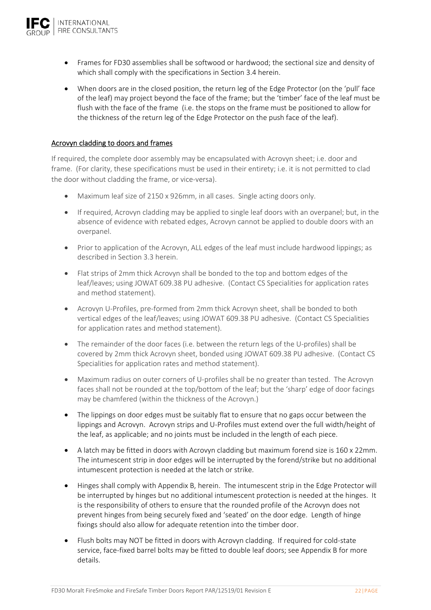

- Frames for FD30 assemblies shall be softwood or hardwood; the sectional size and density of which shall comply with the specifications in Section 3.4 herein.
- When doors are in the closed position, the return leg of the Edge Protector (on the 'pull' face of the leaf) may project beyond the face of the frame; but the 'timber' face of the leaf must be flush with the face of the frame (i.e. the stops on the frame must be positioned to allow for the thickness of the return leg of the Edge Protector on the push face of the leaf).

#### Acrovyn cladding to doors and frames

If required, the complete door assembly may be encapsulated with Acrovyn sheet; i.e. door and frame. (For clarity, these specifications must be used in their entirety; i.e. it is not permitted to clad the door without cladding the frame, or vice-versa).

- Maximum leaf size of 2150 x 926mm, in all cases. Single acting doors only.
- If required, Acrovyn cladding may be applied to single leaf doors with an overpanel; but, in the absence of evidence with rebated edges, Acrovyn cannot be applied to double doors with an overpanel.
- Prior to application of the Acrovyn, ALL edges of the leaf must include hardwood lippings; as described in Section 3.3 herein.
- Flat strips of 2mm thick Acrovyn shall be bonded to the top and bottom edges of the leaf/leaves; using JOWAT 609.38 PU adhesive. (Contact CS Specialities for application rates and method statement).
- Acrovyn U‐Profiles, pre‐formed from 2mm thick Acrovyn sheet, shall be bonded to both vertical edges of the leaf/leaves; using JOWAT 609.38 PU adhesive. (Contact CS Specialities for application rates and method statement).
- The remainder of the door faces (i.e. between the return legs of the U-profiles) shall be covered by 2mm thick Acrovyn sheet, bonded using JOWAT 609.38 PU adhesive. (Contact CS Specialities for application rates and method statement).
- Maximum radius on outer corners of U-profiles shall be no greater than tested. The Acrovyn faces shall not be rounded at the top/bottom of the leaf; but the 'sharp' edge of door facings may be chamfered (within the thickness of the Acrovyn.)
- The lippings on door edges must be suitably flat to ensure that no gaps occur between the lippings and Acrovyn. Acrovyn strips and U‐Profiles must extend over the full width/height of the leaf, as applicable; and no joints must be included in the length of each piece.
- A latch may be fitted in doors with Acrovyn cladding but maximum forend size is 160 x 22mm. The intumescent strip in door edges will be interrupted by the forend/strike but no additional intumescent protection is needed at the latch or strike.
- Hinges shall comply with Appendix B, herein. The intumescent strip in the Edge Protector will be interrupted by hinges but no additional intumescent protection is needed at the hinges. It is the responsibility of others to ensure that the rounded profile of the Acrovyn does not prevent hinges from being securely fixed and 'seated' on the door edge. Length of hinge fixings should also allow for adequate retention into the timber door.
- Flush bolts may NOT be fitted in doors with Acrovyn cladding. If required for cold-state service, face-fixed barrel bolts may be fitted to double leaf doors; see Appendix B for more details.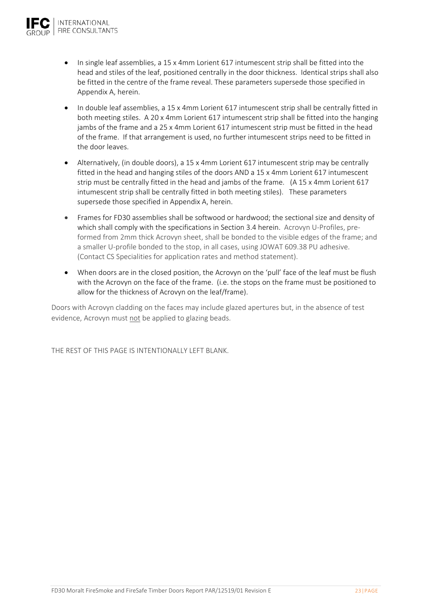

- In single leaf assemblies, a 15 x 4mm Lorient 617 intumescent strip shall be fitted into the head and stiles of the leaf, positioned centrally in the door thickness. Identical strips shall also be fitted in the centre of the frame reveal. These parameters supersede those specified in Appendix A, herein.
- In double leaf assemblies, a 15 x 4mm Lorient 617 intumescent strip shall be centrally fitted in both meeting stiles. A 20 x 4mm Lorient 617 intumescent strip shall be fitted into the hanging jambs of the frame and a 25 x 4mm Lorient 617 intumescent strip must be fitted in the head of the frame. If that arrangement is used, no further intumescent strips need to be fitted in the door leaves.
- Alternatively, (in double doors), a 15 x 4mm Lorient 617 intumescent strip may be centrally fitted in the head and hanging stiles of the doors AND a 15 x 4mm Lorient 617 intumescent strip must be centrally fitted in the head and jambs of the frame. (A 15 x 4mm Lorient 617 intumescent strip shall be centrally fitted in both meeting stiles). These parameters supersede those specified in Appendix A, herein.
- Frames for FD30 assemblies shall be softwood or hardwood; the sectional size and density of which shall comply with the specifications in Section 3.4 herein. Acrovyn U-Profiles, preformed from 2mm thick Acrovyn sheet, shall be bonded to the visible edges of the frame; and a smaller U-profile bonded to the stop, in all cases, using JOWAT 609.38 PU adhesive. (Contact CS Specialities for application rates and method statement).
- When doors are in the closed position, the Acrovyn on the 'pull' face of the leaf must be flush with the Acrovyn on the face of the frame. (i.e. the stops on the frame must be positioned to allow for the thickness of Acrovyn on the leaf/frame).

Doors with Acrovyn cladding on the faces may include glazed apertures but, in the absence of test evidence, Acrovyn must not be applied to glazing beads.

THE REST OF THIS PAGE IS INTENTIONALLY LEFT BLANK.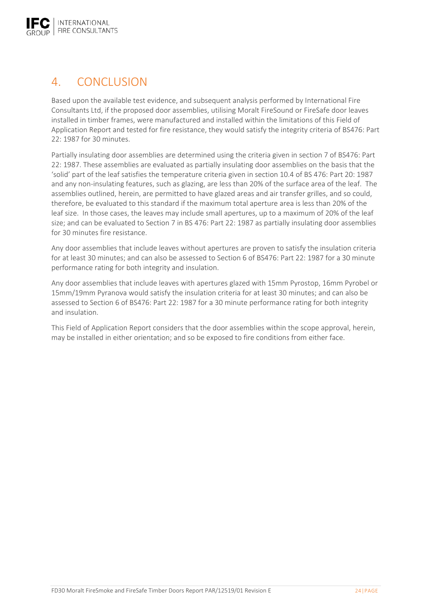

# 4. CONCLUSION

Based upon the available test evidence, and subsequent analysis performed by International Fire Consultants Ltd, if the proposed door assemblies, utilising Moralt FireSound or FireSafe door leaves installed in timber frames, were manufactured and installed within the limitations of this Field of Application Report and tested for fire resistance, they would satisfy the integrity criteria of BS476: Part 22: 1987 for 30 minutes.

Partially insulating door assemblies are determined using the criteria given in section 7 of BS476: Part 22: 1987. These assemblies are evaluated as partially insulating door assemblies on the basis that the 'solid' part of the leaf satisfies the temperature criteria given in section 10.4 of BS 476: Part 20: 1987 and any non‐insulating features, such as glazing, are less than 20% of the surface area of the leaf. The assemblies outlined, herein, are permitted to have glazed areas and air transfer grilles, and so could, therefore, be evaluated to this standard if the maximum total aperture area is less than 20% of the leaf size. In those cases, the leaves may include small apertures, up to a maximum of 20% of the leaf size; and can be evaluated to Section 7 in BS 476: Part 22: 1987 as partially insulating door assemblies for 30 minutes fire resistance.

Any door assemblies that include leaves without apertures are proven to satisfy the insulation criteria for at least 30 minutes; and can also be assessed to Section 6 of BS476: Part 22: 1987 for a 30 minute performance rating for both integrity and insulation.

Any door assemblies that include leaves with apertures glazed with 15mm Pyrostop, 16mm Pyrobel or 15mm/19mm Pyranova would satisfy the insulation criteria for at least 30 minutes; and can also be assessed to Section 6 of BS476: Part 22: 1987 for a 30 minute performance rating for both integrity and insulation.

This Field of Application Report considers that the door assemblies within the scope approval, herein, may be installed in either orientation; and so be exposed to fire conditions from either face.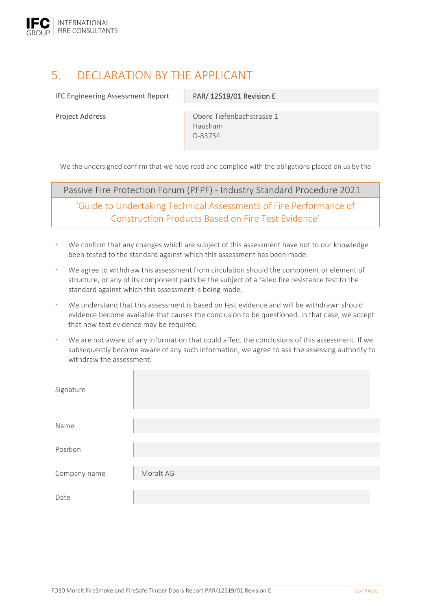

# 5. DECLARATION BY THE APPLICANT

IFC Engineering Assessment Report PAR/ 12519/01 Revision E

Project Address **Canadia** Obere Tiefenbachstrasse 1 Hausham D‐83734

We the undersigned confirm that we have read and complied with the obligations placed on us by the

Passive Fire Protection Forum (PFPF) ‐ Industry Standard Procedure 2021

'Guide to Undertaking Technical Assessments of Fire Performance of Construction Products Based on Fire Test Evidence'

- We confirm that any changes which are subject of this assessment have not to our knowledge been tested to the standard against which this assessment has been made.
- We agree to withdraw this assessment from circulation should the component or element of structure, or any of its component parts be the subject of a failed fire resistance test to the standard against which this assessment is being made.
- We understand that this assessment is based on test evidence and will be withdrawn should evidence become available that causes the conclusion to be questioned. In that case, we accept that new test evidence may be required.
- We are not aware of any information that could affect the conclusions of this assessment. If we subsequently become aware of any such information, we agree to ask the assessing authority to withdraw the assessment.

| Signature    |           |
|--------------|-----------|
| Name         |           |
| Position     |           |
| Company name | Moralt AG |
| Date         |           |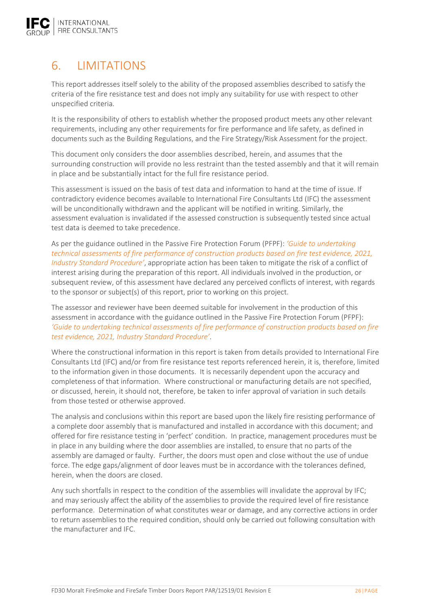

# 6. LIMITATIONS

This report addresses itself solely to the ability of the proposed assemblies described to satisfy the criteria of the fire resistance test and does not imply any suitability for use with respect to other unspecified criteria.

It is the responsibility of others to establish whether the proposed product meets any other relevant requirements, including any other requirements for fire performance and life safety, as defined in documents such as the Building Regulations, and the Fire Strategy/Risk Assessment for the project.

This document only considers the door assemblies described, herein, and assumes that the surrounding construction will provide no less restraint than the tested assembly and that it will remain in place and be substantially intact for the full fire resistance period.

This assessment is issued on the basis of test data and information to hand at the time of issue. If contradictory evidence becomes available to International Fire Consultants Ltd (IFC) the assessment will be unconditionally withdrawn and the applicant will be notified in writing. Similarly, the assessment evaluation is invalidated if the assessed construction is subsequently tested since actual test data is deemed to take precedence.

As per the guidance outlined in the Passive Fire Protection Forum (PFPF): *'Guide to undertaking technical assessments of fire performance of construction products based on fire test evidence, 2021, Industry Standard Procedure'*, appropriate action has been taken to mitigate the risk of a conflict of interest arising during the preparation of this report. All individuals involved in the production, or subsequent review, of this assessment have declared any perceived conflicts of interest, with regards to the sponsor or subject(s) of this report, prior to working on this project.

The assessor and reviewer have been deemed suitable for involvement in the production of this assessment in accordance with the guidance outlined in the Passive Fire Protection Forum (PFPF): *'Guide to undertaking technical assessments of fire performance of construction products based on fire test evidence, 2021, Industry Standard Procedure'*.

Where the constructional information in this report is taken from details provided to International Fire Consultants Ltd (IFC) and/or from fire resistance test reports referenced herein, it is, therefore, limited to the information given in those documents. It is necessarily dependent upon the accuracy and completeness of that information. Where constructional or manufacturing details are not specified, or discussed, herein, it should not, therefore, be taken to infer approval of variation in such details from those tested or otherwise approved.

The analysis and conclusions within this report are based upon the likely fire resisting performance of a complete door assembly that is manufactured and installed in accordance with this document; and offered for fire resistance testing in 'perfect' condition. In practice, management procedures must be in place in any building where the door assemblies are installed, to ensure that no parts of the assembly are damaged or faulty. Further, the doors must open and close without the use of undue force. The edge gaps/alignment of door leaves must be in accordance with the tolerances defined, herein, when the doors are closed.

Any such shortfalls in respect to the condition of the assemblies will invalidate the approval by IFC; and may seriously affect the ability of the assemblies to provide the required level of fire resistance performance. Determination of what constitutes wear or damage, and any corrective actions in order to return assemblies to the required condition, should only be carried out following consultation with the manufacturer and IFC.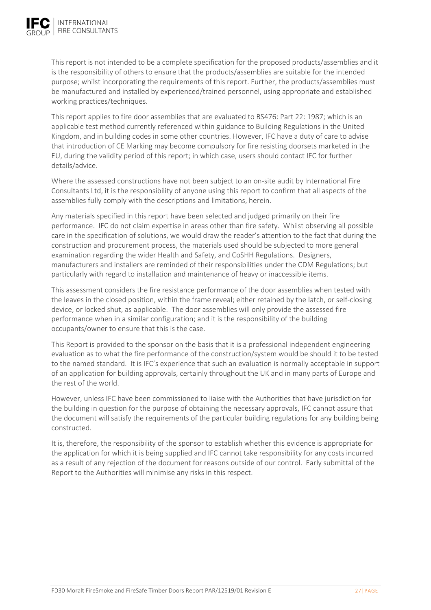

This report is not intended to be a complete specification for the proposed products/assemblies and it is the responsibility of others to ensure that the products/assemblies are suitable for the intended purpose; whilst incorporating the requirements of this report. Further, the products/assemblies must be manufactured and installed by experienced/trained personnel, using appropriate and established working practices/techniques.

This report applies to fire door assemblies that are evaluated to BS476: Part 22: 1987; which is an applicable test method currently referenced within guidance to Building Regulations in the United Kingdom, and in building codes in some other countries. However, IFC have a duty of care to advise that introduction of CE Marking may become compulsory for fire resisting doorsets marketed in the EU, during the validity period of this report; in which case, users should contact IFC for further details/advice.

Where the assessed constructions have not been subject to an on-site audit by International Fire Consultants Ltd, it is the responsibility of anyone using this report to confirm that all aspects of the assemblies fully comply with the descriptions and limitations, herein.

Any materials specified in this report have been selected and judged primarily on their fire performance. IFC do not claim expertise in areas other than fire safety. Whilst observing all possible care in the specification of solutions, we would draw the reader's attention to the fact that during the construction and procurement process, the materials used should be subjected to more general examination regarding the wider Health and Safety, and CoSHH Regulations. Designers, manufacturers and installers are reminded of their responsibilities under the CDM Regulations; but particularly with regard to installation and maintenance of heavy or inaccessible items.

This assessment considers the fire resistance performance of the door assemblies when tested with the leaves in the closed position, within the frame reveal; either retained by the latch, or self‐closing device, or locked shut, as applicable. The door assemblies will only provide the assessed fire performance when in a similar configuration; and it is the responsibility of the building occupants/owner to ensure that this is the case.

This Report is provided to the sponsor on the basis that it is a professional independent engineering evaluation as to what the fire performance of the construction/system would be should it to be tested to the named standard. It is IFC's experience that such an evaluation is normally acceptable in support of an application for building approvals, certainly throughout the UK and in many parts of Europe and the rest of the world.

However, unless IFC have been commissioned to liaise with the Authorities that have jurisdiction for the building in question for the purpose of obtaining the necessary approvals, IFC cannot assure that the document will satisfy the requirements of the particular building regulations for any building being constructed.

It is, therefore, the responsibility of the sponsor to establish whether this evidence is appropriate for the application for which it is being supplied and IFC cannot take responsibility for any costs incurred as a result of any rejection of the document for reasons outside of our control. Early submittal of the Report to the Authorities will minimise any risks in this respect.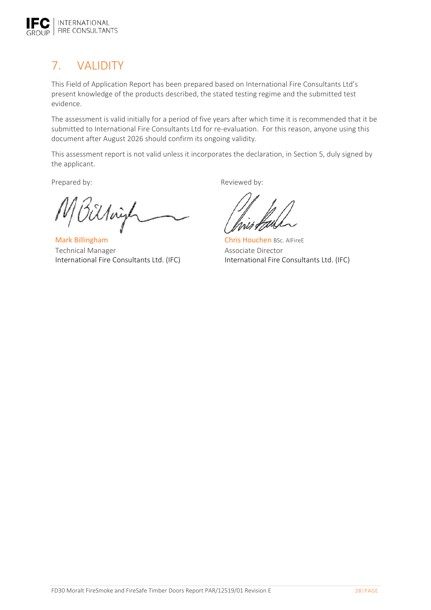

# 7. VALIDITY

This Field of Application Report has been prepared based on International Fire Consultants Ltd's present knowledge of the products described, the stated testing regime and the submitted test evidence.

The assessment is valid initially for a period of five years after which time it is recommended that it be submitted to International Fire Consultants Ltd for re-evaluation. For this reason, anyone using this document after August 2026 should confirm its ongoing validity.

This assessment report is not valid unless it incorporates the declaration, in Section 5, duly signed by the applicant.

Sillaye

Mark Billingham Technical Manager International Fire Consultants Ltd. (IFC)

Prepared by: Prepared by:

Chris Houchen BSc. AIFireE Associate Director International Fire Consultants Ltd. (IFC)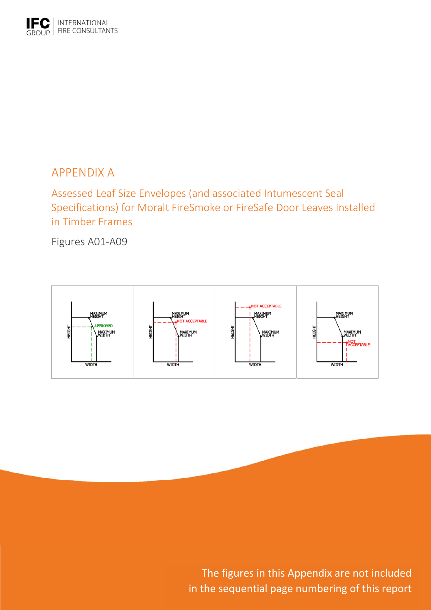

# APPENDIX A

Assessed Leaf Size Envelopes (and associated Intumescent Seal Specifications) for Moralt FireSmoke or FireSafe Door Leaves Installed in Timber Frames

Figures A01‐A09



in FireSafe Timber Doors Report Paris Report Paris Report Paris Report Paris Report Paris Report Paris Report The figures in this Appendix are not included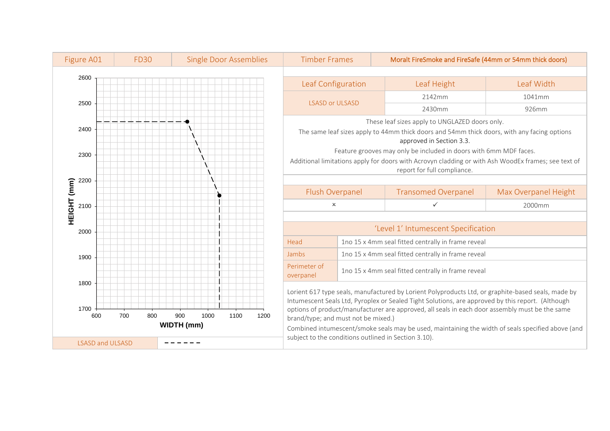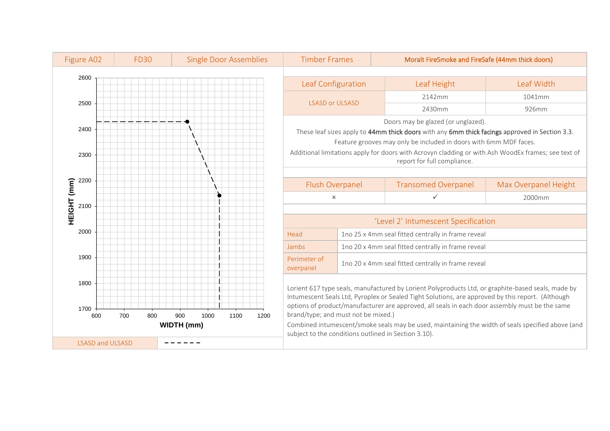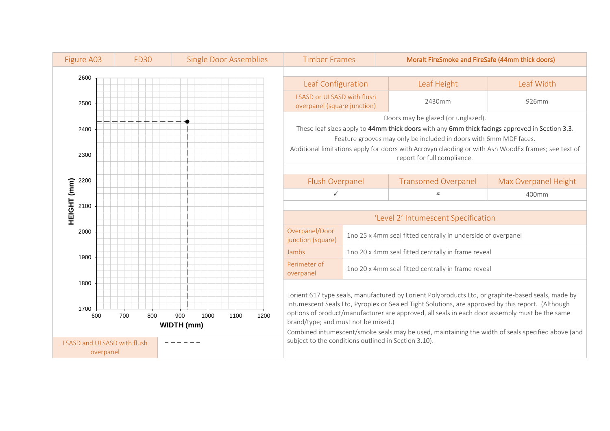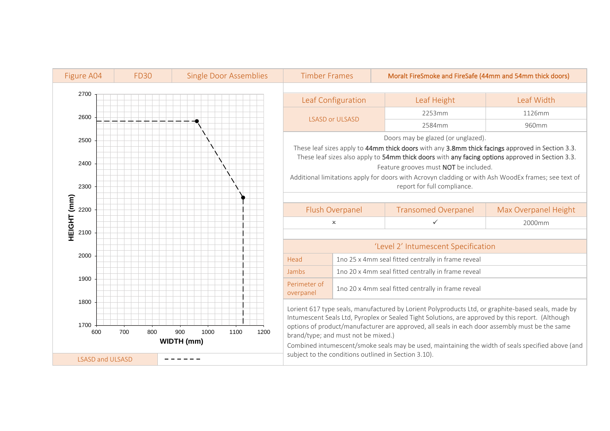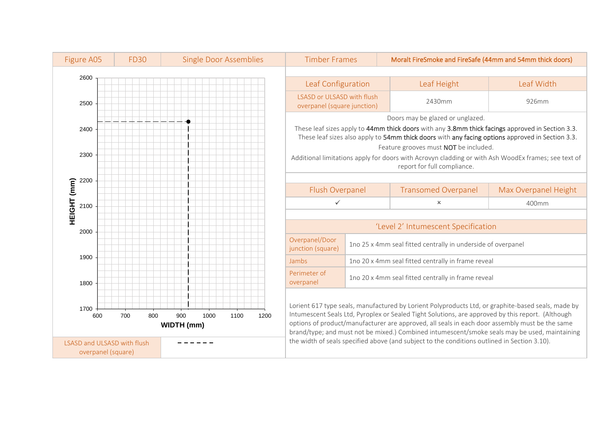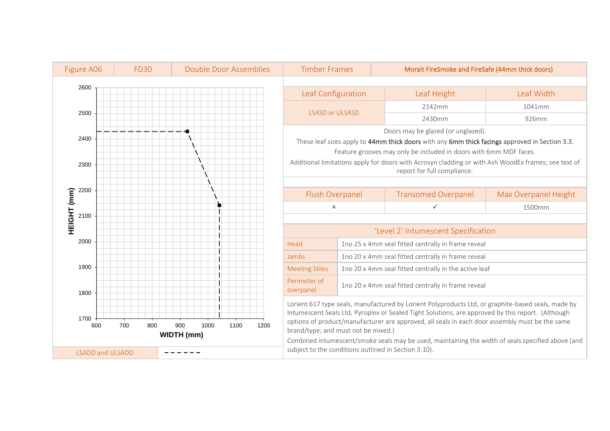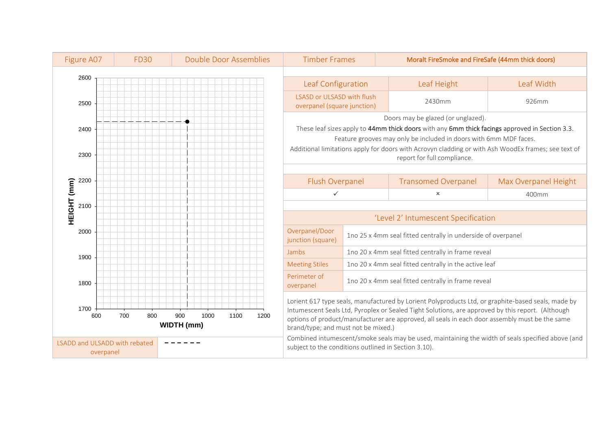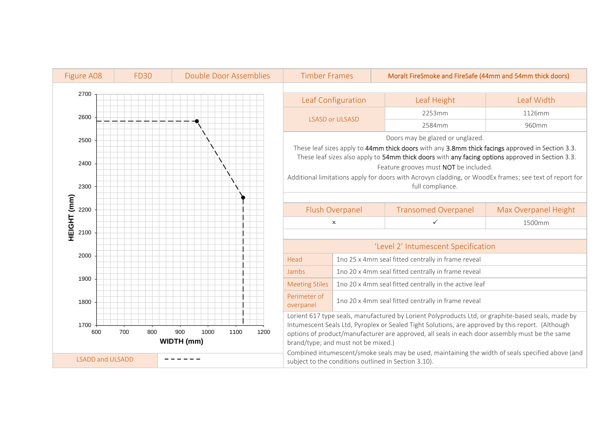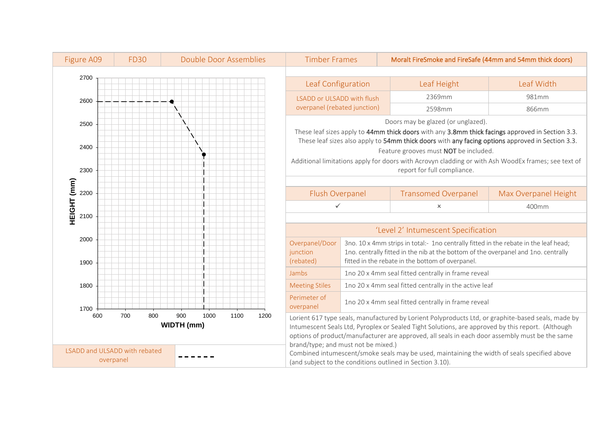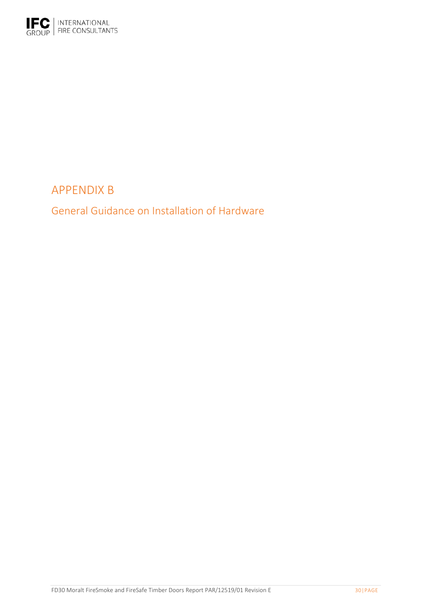

# APPENDIX B

General Guidance on Installation of Hardware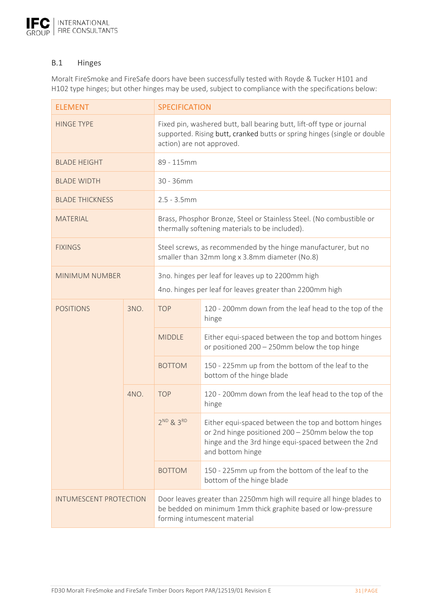

### B.1 Hinges

Moralt FireSmoke and FireSafe doors have been successfully tested with Royde & Tucker H101 and H102 type hinges; but other hinges may be used, subject to compliance with the specifications below:

| <b>ELEMENT</b>                |      | <b>SPECIFICATION</b>                                                                                                                                                           |                                                                                                                                                                                      |  |
|-------------------------------|------|--------------------------------------------------------------------------------------------------------------------------------------------------------------------------------|--------------------------------------------------------------------------------------------------------------------------------------------------------------------------------------|--|
| <b>HINGE TYPE</b>             |      | Fixed pin, washered butt, ball bearing butt, lift-off type or journal<br>supported. Rising butt, cranked butts or spring hinges (single or double<br>action) are not approved. |                                                                                                                                                                                      |  |
| <b>BLADE HEIGHT</b>           |      | 89 - 115mm                                                                                                                                                                     |                                                                                                                                                                                      |  |
| <b>BLADE WIDTH</b>            |      | 30 - 36mm                                                                                                                                                                      |                                                                                                                                                                                      |  |
| <b>BLADE THICKNESS</b>        |      | $2.5 - 3.5$ mm                                                                                                                                                                 |                                                                                                                                                                                      |  |
| MATERIAL                      |      |                                                                                                                                                                                | Brass, Phosphor Bronze, Steel or Stainless Steel. (No combustible or<br>thermally softening materials to be included).                                                               |  |
| <b>FIXINGS</b>                |      | Steel screws, as recommended by the hinge manufacturer, but no<br>smaller than 32mm long x 3.8mm diameter (No.8)                                                               |                                                                                                                                                                                      |  |
| <b>MINIMUM NUMBER</b>         |      | 3no. hinges per leaf for leaves up to 2200mm high<br>4no. hinges per leaf for leaves greater than 2200mm high                                                                  |                                                                                                                                                                                      |  |
| <b>POSITIONS</b>              | 3NO. | <b>TOP</b>                                                                                                                                                                     | 120 - 200mm down from the leaf head to the top of the<br>hinge                                                                                                                       |  |
|                               |      | <b>MIDDLE</b>                                                                                                                                                                  | Either equi-spaced between the top and bottom hinges<br>or positioned 200 - 250mm below the top hinge                                                                                |  |
|                               |      | <b>BOTTOM</b>                                                                                                                                                                  | 150 - 225mm up from the bottom of the leaf to the<br>bottom of the hinge blade                                                                                                       |  |
|                               | 4NO. | <b>TOP</b>                                                                                                                                                                     | 120 - 200mm down from the leaf head to the top of the<br>hinge                                                                                                                       |  |
|                               |      | $2^{ND}$ & $3^{RD}$                                                                                                                                                            | Either equi-spaced between the top and bottom hinges<br>or 2nd hinge positioned 200 - 250mm below the top<br>hinge and the 3rd hinge equi-spaced between the 2nd<br>and bottom hinge |  |
|                               |      | <b>BOTTOM</b>                                                                                                                                                                  | 150 - 225mm up from the bottom of the leaf to the<br>bottom of the hinge blade                                                                                                       |  |
| <b>INTUMESCENT PROTECTION</b> |      | Door leaves greater than 2250mm high will require all hinge blades to<br>be bedded on minimum 1mm thick graphite based or low-pressure<br>forming intumescent material         |                                                                                                                                                                                      |  |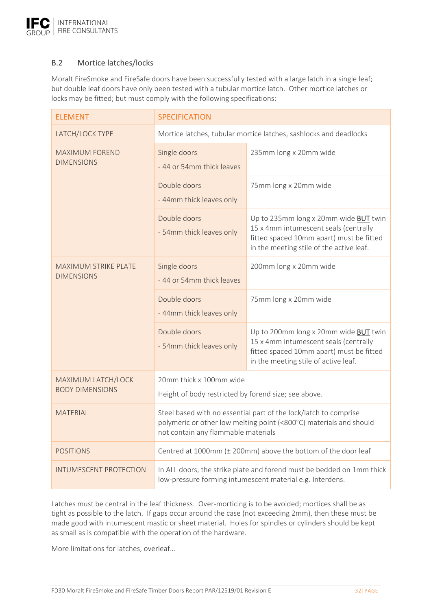

### B.2 Mortice latches/locks

Moralt FireSmoke and FireSafe doors have been successfully tested with a large latch in a single leaf; but double leaf doors have only been tested with a tubular mortice latch. Other mortice latches or locks may be fitted; but must comply with the following specifications:

| <b>ELEMENT</b>                               | <b>SPECIFICATION</b>                                                                                                                                                          |                                                                                                                                                                           |  |
|----------------------------------------------|-------------------------------------------------------------------------------------------------------------------------------------------------------------------------------|---------------------------------------------------------------------------------------------------------------------------------------------------------------------------|--|
| LATCH/LOCK TYPE                              | Mortice latches, tubular mortice latches, sashlocks and deadlocks                                                                                                             |                                                                                                                                                                           |  |
| <b>MAXIMUM FOREND</b><br><b>DIMENSIONS</b>   | Single doors<br>- 44 or 54mm thick leaves                                                                                                                                     | 235mm long x 20mm wide                                                                                                                                                    |  |
|                                              | Double doors<br>- 44mm thick leaves only                                                                                                                                      | 75mm long x 20mm wide                                                                                                                                                     |  |
|                                              | Double doors<br>- 54mm thick leaves only                                                                                                                                      | Up to 235mm long x 20mm wide BUT twin<br>15 x 4mm intumescent seals (centrally<br>fitted spaced 10mm apart) must be fitted<br>in the meeting stile of the active leaf.    |  |
| MAXIMUM STRIKE PLATE<br><b>DIMENSIONS</b>    | Single doors<br>- 44 or 54mm thick leaves                                                                                                                                     | 200mm long x 20mm wide                                                                                                                                                    |  |
|                                              | Double doors<br>- 44mm thick leaves only                                                                                                                                      | 75mm long x 20mm wide                                                                                                                                                     |  |
|                                              | Double doors<br>- 54mm thick leaves only                                                                                                                                      | Up to 200mm long x 20mm wide <b>BUT</b> twin<br>15 x 4mm intumescent seals (centrally<br>fitted spaced 10mm apart) must be fitted<br>in the meeting stile of active leaf. |  |
| MAXIMUM LATCH/LOCK<br><b>BODY DIMENSIONS</b> | 20mm thick x 100mm wide<br>Height of body restricted by forend size; see above.                                                                                               |                                                                                                                                                                           |  |
| <b>MATERIAL</b>                              | Steel based with no essential part of the lock/latch to comprise<br>polymeric or other low melting point (<800°C) materials and should<br>not contain any flammable materials |                                                                                                                                                                           |  |
| <b>POSITIONS</b>                             | Centred at 1000mm (± 200mm) above the bottom of the door leaf                                                                                                                 |                                                                                                                                                                           |  |
| <b>INTUMESCENT PROTECTION</b>                | In ALL doors, the strike plate and forend must be bedded on 1mm thick<br>low-pressure forming intumescent material e.g. Interdens.                                            |                                                                                                                                                                           |  |

Latches must be central in the leaf thickness. Over-morticing is to be avoided; mortices shall be as tight as possible to the latch. If gaps occur around the case (not exceeding 2mm), then these must be made good with intumescent mastic or sheet material. Holes for spindles or cylinders should be kept as small as is compatible with the operation of the hardware.

More limitations for latches, overleaf…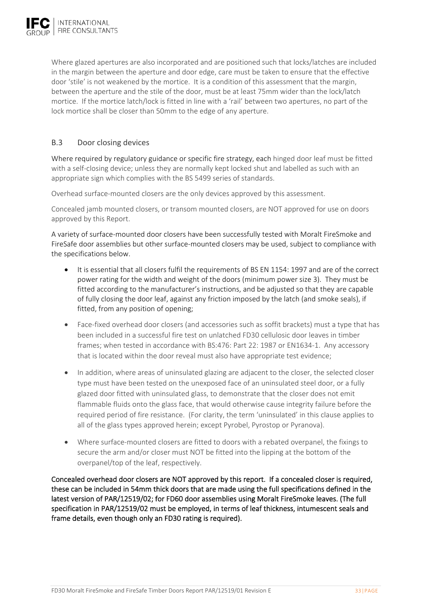Where glazed apertures are also incorporated and are positioned such that locks/latches are included in the margin between the aperture and door edge, care must be taken to ensure that the effective door 'stile' is not weakened by the mortice. It is a condition of this assessment that the margin, between the aperture and the stile of the door, must be at least 75mm wider than the lock/latch mortice. If the mortice latch/lock is fitted in line with a 'rail' between two apertures, no part of the lock mortice shall be closer than 50mm to the edge of any aperture.

# B.3 Door closing devices

Where required by regulatory guidance or specific fire strategy, each hinged door leaf must be fitted with a self-closing device; unless they are normally kept locked shut and labelled as such with an appropriate sign which complies with the BS 5499 series of standards.

Overhead surface‐mounted closers are the only devices approved by this assessment.

Concealed jamb mounted closers, or transom mounted closers, are NOT approved for use on doors approved by this Report.

A variety of surface‐mounted door closers have been successfully tested with Moralt FireSmoke and FireSafe door assemblies but other surface‐mounted closers may be used, subject to compliance with the specifications below.

- It is essential that all closers fulfil the requirements of BS EN 1154: 1997 and are of the correct power rating for the width and weight of the doors (minimum power size 3). They must be fitted according to the manufacturer's instructions, and be adjusted so that they are capable of fully closing the door leaf, against any friction imposed by the latch (and smoke seals), if fitted, from any position of opening;
- Face-fixed overhead door closers (and accessories such as soffit brackets) must a type that has been included in a successful fire test on unlatched FD30 cellulosic door leaves in timber frames; when tested in accordance with BS:476: Part 22: 1987 or EN1634‐1. Any accessory that is located within the door reveal must also have appropriate test evidence;
- In addition, where areas of uninsulated glazing are adjacent to the closer, the selected closer type must have been tested on the unexposed face of an uninsulated steel door, or a fully glazed door fitted with uninsulated glass, to demonstrate that the closer does not emit flammable fluids onto the glass face, that would otherwise cause integrity failure before the required period of fire resistance. (For clarity, the term 'uninsulated' in this clause applies to all of the glass types approved herein; except Pyrobel, Pyrostop or Pyranova).
- Where surface‐mounted closers are fitted to doors with a rebated overpanel, the fixings to secure the arm and/or closer must NOT be fitted into the lipping at the bottom of the overpanel/top of the leaf, respectively.

Concealed overhead door closers are NOT approved by this report. If a concealed closer is required, these can be included in 54mm thick doors that are made using the full specifications defined in the latest version of PAR/12519/02; for FD60 door assemblies using Moralt FireSmoke leaves. (The full specification in PAR/12519/02 must be employed, in terms of leaf thickness, intumescent seals and frame details, even though only an FD30 rating is required).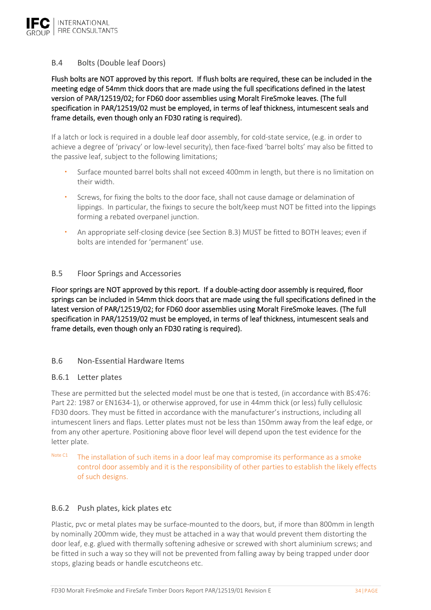

### B.4 Bolts (Double leaf Doors)

Flush bolts are NOT approved by this report. If flush bolts are required, these can be included in the meeting edge of 54mm thick doors that are made using the full specifications defined in the latest version of PAR/12519/02; for FD60 door assemblies using Moralt FireSmoke leaves. (The full specification in PAR/12519/02 must be employed, in terms of leaf thickness, intumescent seals and frame details, even though only an FD30 rating is required).

If a latch or lock is required in a double leaf door assembly, for cold‐state service, (e.g. in order to achieve a degree of 'privacy' or low-level security), then face-fixed 'barrel bolts' may also be fitted to the passive leaf, subject to the following limitations;

- Surface mounted barrel bolts shall not exceed 400mm in length, but there is no limitation on their width.
- Screws, for fixing the bolts to the door face, shall not cause damage or delamination of lippings. In particular, the fixings to secure the bolt/keep must NOT be fitted into the lippings forming a rebated overpanel junction.
- An appropriate self-closing device (see Section B.3) MUST be fitted to BOTH leaves; even if bolts are intended for 'permanent' use.

### B.5 Floor Springs and Accessories

Floor springs are NOT approved by this report. If a double-acting door assembly is required, floor springs can be included in 54mm thick doors that are made using the full specifications defined in the latest version of PAR/12519/02; for FD60 door assemblies using Moralt FireSmoke leaves. (The full specification in PAR/12519/02 must be employed, in terms of leaf thickness, intumescent seals and frame details, even though only an FD30 rating is required).

#### B.6 Non‐Essential Hardware Items

#### B.6.1 Letter plates

These are permitted but the selected model must be one that is tested, (in accordance with BS:476: Part 22: 1987 or EN1634‐1), or otherwise approved, for use in 44mm thick (or less) fully cellulosic FD30 doors. They must be fitted in accordance with the manufacturer's instructions, including all intumescent liners and flaps. Letter plates must not be less than 150mm away from the leaf edge, or from any other aperture. Positioning above floor level will depend upon the test evidence for the letter plate.

Note C1 The installation of such items in a door leaf may compromise its performance as a smoke control door assembly and it is the responsibility of other parties to establish the likely effects of such designs.

#### B.6.2 Push plates, kick plates etc

Plastic, pvc or metal plates may be surface-mounted to the doors, but, if more than 800mm in length by nominally 200mm wide, they must be attached in a way that would prevent them distorting the door leaf, e.g. glued with thermally softening adhesive or screwed with short aluminium screws; and be fitted in such a way so they will not be prevented from falling away by being trapped under door stops, glazing beads or handle escutcheons etc.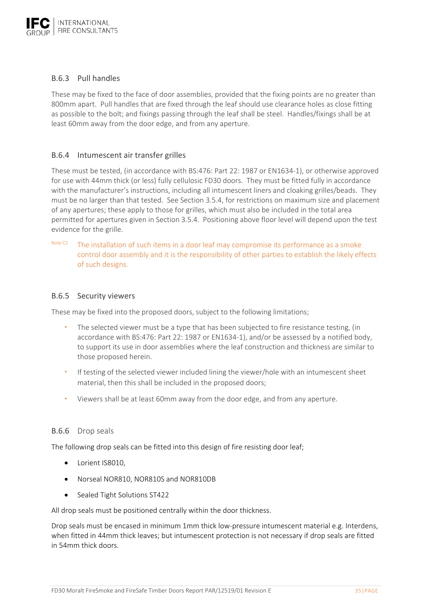

### B.6.3 Pull handles

These may be fixed to the face of door assemblies, provided that the fixing points are no greater than 800mm apart. Pull handles that are fixed through the leaf should use clearance holes as close fitting as possible to the bolt; and fixings passing through the leaf shall be steel. Handles/fixings shall be at least 60mm away from the door edge, and from any aperture.

### B.6.4 Intumescent air transfer grilles

These must be tested, (in accordance with BS:476: Part 22: 1987 or EN1634‐1), or otherwise approved for use with 44mm thick (or less) fully cellulosic FD30 doors. They must be fitted fully in accordance with the manufacturer's instructions, including all intumescent liners and cloaking grilles/beads. They must be no larger than that tested. See Section 3.5.4, for restrictions on maximum size and placement of any apertures; these apply to those for grilles, which must also be included in the total area permitted for apertures given in Section 3.5.4. Positioning above floor level will depend upon the test evidence for the grille.

Note C<sub>2</sub> The installation of such items in a door leaf may compromise its performance as a smoke control door assembly and it is the responsibility of other parties to establish the likely effects of such designs.

#### B.6.5 Security viewers

These may be fixed into the proposed doors, subject to the following limitations;

- The selected viewer must be a type that has been subjected to fire resistance testing, (in accordance with BS:476: Part 22: 1987 or EN1634‐1), and/or be assessed by a notified body, to support its use in door assemblies where the leaf construction and thickness are similar to those proposed herein.
- If testing of the selected viewer included lining the viewer/hole with an intumescent sheet material, then this shall be included in the proposed doors;
- Viewers shall be at least 60mm away from the door edge, and from any aperture.

#### B.6.6 Drop seals

The following drop seals can be fitted into this design of fire resisting door leaf;

- Lorient IS8010,
- Norseal NOR810, NOR810S and NOR810DB
- Sealed Tight Solutions ST422

All drop seals must be positioned centrally within the door thickness.

Drop seals must be encased in minimum 1mm thick low-pressure intumescent material e.g. Interdens, when fitted in 44mm thick leaves; but intumescent protection is not necessary if drop seals are fitted in 54mm thick doors.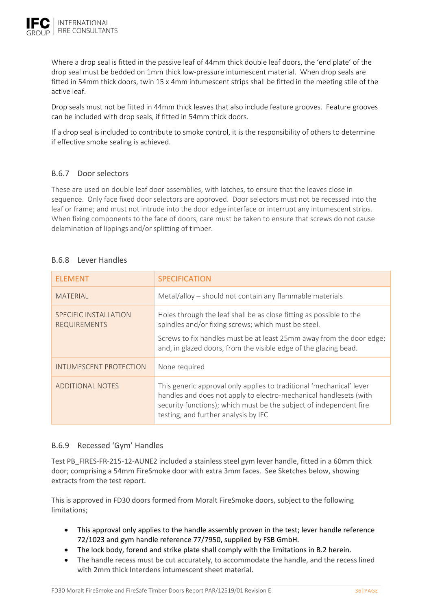

Where a drop seal is fitted in the passive leaf of 44mm thick double leaf doors, the 'end plate' of the drop seal must be bedded on 1mm thick low‐pressure intumescent material. When drop seals are fitted in 54mm thick doors, twin 15 x 4mm intumescent strips shall be fitted in the meeting stile of the active leaf.

Drop seals must not be fitted in 44mm thick leaves that also include feature grooves. Feature grooves can be included with drop seals, if fitted in 54mm thick doors.

If a drop seal is included to contribute to smoke control, it is the responsibility of others to determine if effective smoke sealing is achieved.

## B.6.7 Door selectors

These are used on double leaf door assemblies, with latches, to ensure that the leaves close in sequence. Only face fixed door selectors are approved. Door selectors must not be recessed into the leaf or frame; and must not intrude into the door edge interface or interrupt any intumescent strips. When fixing components to the face of doors, care must be taken to ensure that screws do not cause delamination of lippings and/or splitting of timber.

### B.6.8 Lever Handles

| <b>ELEMENT</b>                               | <b>SPECIFICATION</b>                                                                                                                                                                                                                                    |
|----------------------------------------------|---------------------------------------------------------------------------------------------------------------------------------------------------------------------------------------------------------------------------------------------------------|
| <b>MATERIAL</b>                              | Metal/alloy - should not contain any flammable materials                                                                                                                                                                                                |
| SPECIFIC INSTALLATION<br><b>REQUIREMENTS</b> | Holes through the leaf shall be as close fitting as possible to the<br>spindles and/or fixing screws; which must be steel.                                                                                                                              |
|                                              | Screws to fix handles must be at least 25mm away from the door edge;<br>and, in glazed doors, from the visible edge of the glazing bead.                                                                                                                |
| INTUMESCENT PROTECTION                       | None required                                                                                                                                                                                                                                           |
| ADDITIONAL NOTES                             | This generic approval only applies to traditional 'mechanical' lever<br>handles and does not apply to electro-mechanical handlesets (with<br>security functions); which must be the subject of independent fire<br>testing, and further analysis by IFC |

### B.6.9 Recessed 'Gym' Handles

Test PB\_FIRES-FR-215-12-AUNE2 included a stainless steel gym lever handle, fitted in a 60mm thick door; comprising a 54mm FireSmoke door with extra 3mm faces. See Sketches below, showing extracts from the test report.

This is approved in FD30 doors formed from Moralt FireSmoke doors, subject to the following limitations;

- This approval only applies to the handle assembly proven in the test; lever handle reference 72/1023 and gym handle reference 77/7950, supplied by FSB GmbH.
- The lock body, forend and strike plate shall comply with the limitations in B.2 herein.
- The handle recess must be cut accurately, to accommodate the handle, and the recess lined with 2mm thick Interdens intumescent sheet material.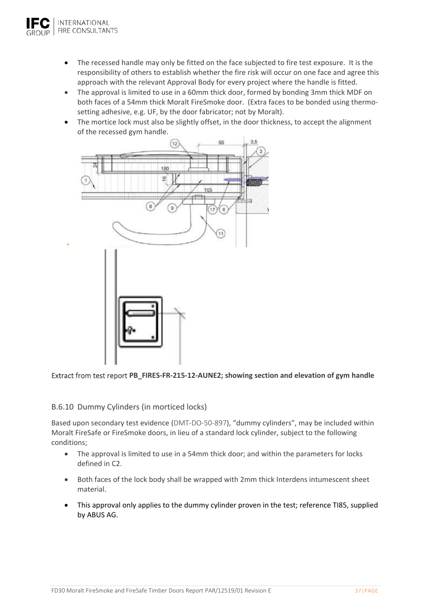

- The recessed handle may only be fitted on the face subjected to fire test exposure. It is the responsibility of others to establish whether the fire risk will occur on one face and agree this approach with the relevant Approval Body for every project where the handle is fitted.
- The approval is limited to use in a 60mm thick door, formed by bonding 3mm thick MDF on both faces of a 54mm thick Moralt FireSmoke door. (Extra faces to be bonded using thermosetting adhesive, e.g. UF, by the door fabricator; not by Moralt).
- The mortice lock must also be slightly offset, in the door thickness, to accept the alignment of the recessed gym handle.



#### Extract from test report **PB\_FIRES‐FR‐215‐12‐AUNE2; showing section and elevation of gym handle**

#### B.6.10 Dummy Cylinders (in morticed locks)

Based upon secondary test evidence (DMT‐DO‐50‐897), "dummy cylinders", may be included within Moralt FireSafe or FireSmoke doors, in lieu of a standard lock cylinder, subject to the following conditions;

- The approval is limited to use in a 54mm thick door; and within the parameters for locks defined in C2.
- Both faces of the lock body shall be wrapped with 2mm thick Interdens intumescent sheet material.
- This approval only applies to the dummy cylinder proven in the test; reference TI85, supplied by ABUS AG.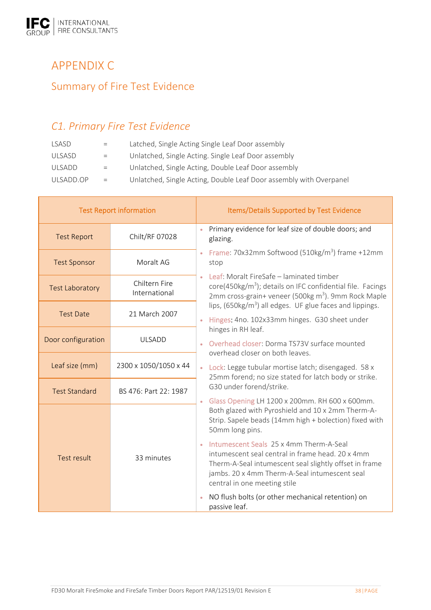# APPENDIX C Summary of Fire Test Evidence

# *C1. Primary Fire Test Evidence*

| LSASD         | $=$ | Latched, Single Acting Single Leaf Door assembly                   |
|---------------|-----|--------------------------------------------------------------------|
| ULSASD        | $=$ | Unlatched, Single Acting. Single Leaf Door assembly                |
| <b>ULSADD</b> | $=$ | Unlatched, Single Acting, Double Leaf Door assembly                |
| ULSADD.OP     | $=$ | Unlatched, Single Acting, Double Leaf Door assembly with Overpanel |

| <b>Test Report information</b> |                                | Items/Details Supported by Test Evidence                                                                                                                                                                                               |  |  |
|--------------------------------|--------------------------------|----------------------------------------------------------------------------------------------------------------------------------------------------------------------------------------------------------------------------------------|--|--|
| <b>Test Report</b>             | Chilt/RF 07028                 | Primary evidence for leaf size of double doors; and<br>$\bullet$<br>glazing.                                                                                                                                                           |  |  |
| <b>Test Sponsor</b>            | Moralt AG                      | Frame: $70x32mm$ Softwood (510kg/m <sup>3</sup> ) frame +12mm<br>$\bullet$<br>stop                                                                                                                                                     |  |  |
| <b>Test Laboratory</b>         | Chiltern Fire<br>International | Leaf: Moralt FireSafe - laminated timber<br>core(450kg/m <sup>3</sup> ); details on IFC confidential file. Facings<br>2mm cross-grain+ veneer (500kg m <sup>3</sup> ). 9mm Rock Maple                                                  |  |  |
| <b>Test Date</b>               | 21 March 2007                  | lips, $(650\text{kg/m}^3)$ all edges. UF glue faces and lippings.<br>Hinges: 4no. 102x33mm hinges. G30 sheet under                                                                                                                     |  |  |
| Door configuration             | <b>ULSADD</b>                  | hinges in RH leaf.<br>Overhead closer: Dorma TS73V surface mounted                                                                                                                                                                     |  |  |
| Leaf size (mm)                 | 2300 x 1050/1050 x 44          | overhead closer on both leaves.<br>Lock: Legge tubular mortise latch; disengaged. 58 x<br>$\bullet$<br>25mm forend; no size stated for latch body or strike.                                                                           |  |  |
| <b>Test Standard</b>           | BS 476: Part 22: 1987          | G30 under forend/strike.<br>Glass Opening LH 1200 x 200mm. RH 600 x 600mm.                                                                                                                                                             |  |  |
|                                |                                | $\bullet$<br>Both glazed with Pyroshield and 10 x 2mm Therm-A-<br>Strip. Sapele beads (14mm high + bolection) fixed with<br>50mm long pins.                                                                                            |  |  |
| <b>Test result</b>             | 33 minutes                     | Intumescent Seals 25 x 4mm Therm-A-Seal<br>intumescent seal central in frame head. 20 x 4mm<br>Therm-A-Seal intumescent seal slightly offset in frame<br>jambs. 20 x 4mm Therm-A-Seal intumescent seal<br>central in one meeting stile |  |  |
|                                |                                | NO flush bolts (or other mechanical retention) on<br>$\bullet$<br>passive leaf.                                                                                                                                                        |  |  |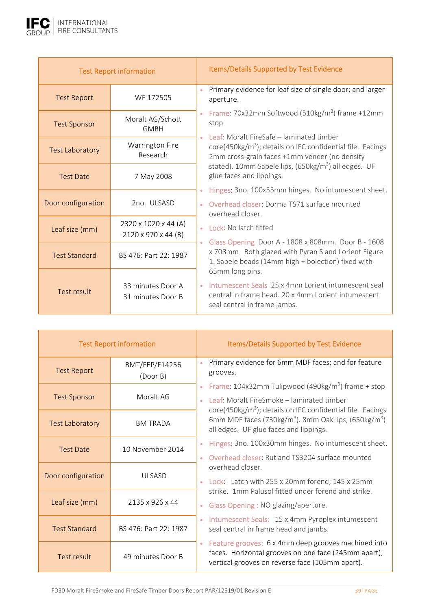

| <b>Test Report information</b> |                                             | Items/Details Supported by Test Evidence                                                                                                                                   |
|--------------------------------|---------------------------------------------|----------------------------------------------------------------------------------------------------------------------------------------------------------------------------|
| <b>Test Report</b>             | WF 172505                                   | Primary evidence for leaf size of single door; and larger<br>$\bullet$<br>aperture.                                                                                        |
| <b>Test Sponsor</b>            | Moralt AG/Schott<br><b>GMBH</b>             | Frame: 70x32mm Softwood (510kg/m <sup>3</sup> ) frame +12mm<br>stop                                                                                                        |
| <b>Test Laboratory</b>         | Warrington Fire<br>Research                 | Leaf: Moralt FireSafe - laminated timber<br>core(450kg/m <sup>3</sup> ); details on IFC confidential file. Facings<br>2mm cross-grain faces +1mm veneer (no density        |
| <b>Test Date</b>               | 7 May 2008                                  | stated). 10mm Sapele lips, (650kg/m <sup>3</sup> ) all edges. UF<br>glue faces and lippings.                                                                               |
|                                |                                             | Hinges: 3no. 100x35mm hinges. No intumescent sheet.<br>$\bullet$                                                                                                           |
| Door configuration             | 2no. ULSASD                                 | Overhead closer: Dorma TS71 surface mounted<br>$\bullet$<br>overhead closer.                                                                                               |
| Leaf size (mm)                 | 2320 x 1020 x 44 (A)<br>2120 x 970 x 44 (B) | Lock: No latch fitted<br>$\bullet$<br>Glass Opening Door A - 1808 x 808mm. Door B - 1608                                                                                   |
| <b>Test Standard</b>           | BS 476: Part 22: 1987                       | x 708mm Both glazed with Pyran S and Lorient Figure<br>1. Sapele beads (14mm high + bolection) fixed with                                                                  |
| Test result                    | 33 minutes Door A<br>31 minutes Door B      | 65mm long pins.<br>Intumescent Seals 25 x 4mm Lorient intumescent seal<br>$\bullet$<br>central in frame head. 20 x 4mm Lorient intumescent<br>seal central in frame jambs. |

| <b>Test Report information</b> |                            | Items/Details Supported by Test Evidence                                                                                                                                                                          |
|--------------------------------|----------------------------|-------------------------------------------------------------------------------------------------------------------------------------------------------------------------------------------------------------------|
| <b>Test Report</b>             | BMT/FEP/F14256<br>(Door B) | Primary evidence for 6mm MDF faces; and for feature<br>$\bullet$<br>grooves.                                                                                                                                      |
| <b>Test Sponsor</b>            | Moralt AG                  | Frame: $104x32mm$ Tulipwood (490kg/m <sup>3</sup> ) frame + stop<br>$\bullet$<br>Leaf: Moralt FireSmoke – laminated timber<br>$\bullet$<br>core(450kg/m <sup>3</sup> ); details on IFC confidential file. Facings |
| <b>Test Laboratory</b>         | <b>BM TRADA</b>            | 6mm MDF faces (730kg/m <sup>3</sup> ). 8mm Oak lips, (650kg/m <sup>3</sup> )<br>all edges. UF glue faces and lippings.                                                                                            |
| <b>Test Date</b>               | 10 November 2014           | Hinges: 3no. 100x30mm hinges. No intumescent sheet.<br>$\bullet$                                                                                                                                                  |
|                                |                            | Overhead closer: Rutland TS3204 surface mounted<br>$\bullet$<br>overhead closer.                                                                                                                                  |
| Door configuration             | UI SASD                    | Lock: Latch with 255 x 20mm forend; 145 x 25mm                                                                                                                                                                    |
| Leaf size (mm)                 | 2135 x 926 x 44            | strike. 1mm Palusol fitted under forend and strike.<br>Glass Opening : NO glazing/aperture.<br>$\bullet$                                                                                                          |
| <b>Test Standard</b>           | BS 476: Part 22: 1987      | Intumescent Seals: 15 x 4mm Pyroplex intumescent<br>$\bullet$<br>seal central in frame head and jambs.                                                                                                            |
| Test result                    | 49 minutes Door B          | Feature grooves: 6 x 4mm deep grooves machined into<br>faces. Horizontal grooves on one face (245mm apart);<br>vertical grooves on reverse face (105mm apart).                                                    |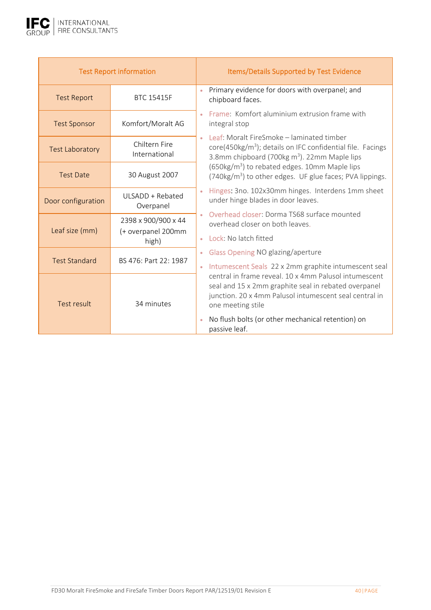

| <b>Test Report information</b> |                                                    | Items/Details Supported by Test Evidence                                                                                                                                                                                                                           |
|--------------------------------|----------------------------------------------------|--------------------------------------------------------------------------------------------------------------------------------------------------------------------------------------------------------------------------------------------------------------------|
| <b>Test Report</b>             | <b>BTC 15415F</b>                                  | Primary evidence for doors with overpanel; and<br>$\bullet$<br>chipboard faces.                                                                                                                                                                                    |
| <b>Test Sponsor</b>            | Komfort/Moralt AG                                  | Frame: Komfort aluminium extrusion frame with<br>integral stop                                                                                                                                                                                                     |
| <b>Test Laboratory</b>         | Chiltern Fire<br>International                     | Leaf: Moralt FireSmoke – laminated timber<br>core(450kg/m <sup>3</sup> ); details on IFC confidential file. Facings<br>3.8mm chipboard (700kg m <sup>3</sup> ). 22mm Maple lips                                                                                    |
| <b>Test Date</b>               | 30 August 2007                                     | (650kg/m <sup>3</sup> ) to rebated edges. 10mm Maple lips<br>(740kg/m <sup>3</sup> ) to other edges. UF glue faces; PVA lippings.                                                                                                                                  |
| Door configuration             | ULSADD + Rebated<br>Overpanel                      | Hinges: 3no. 102x30mm hinges. Interdens 1mm sheet<br>under hinge blades in door leaves.                                                                                                                                                                            |
| Leaf size (mm)                 | 2398 x 900/900 x 44<br>(+ overpanel 200mm<br>high) | Overhead closer: Dorma TS68 surface mounted<br>overhead closer on both leaves.<br>Lock: No latch fitted                                                                                                                                                            |
| <b>Test Standard</b>           | BS 476: Part 22: 1987                              | Glass Opening NO glazing/aperture<br>$\bullet$<br>Intumescent Seals 22 x 2mm graphite intumescent seal<br>$\bullet$                                                                                                                                                |
| Test result                    | 34 minutes                                         | central in frame reveal. 10 x 4mm Palusol intumescent<br>seal and 15 x 2mm graphite seal in rebated overpanel<br>junction. 20 x 4mm Palusol intumescent seal central in<br>one meeting stile<br>No flush bolts (or other mechanical retention) on<br>passive leaf. |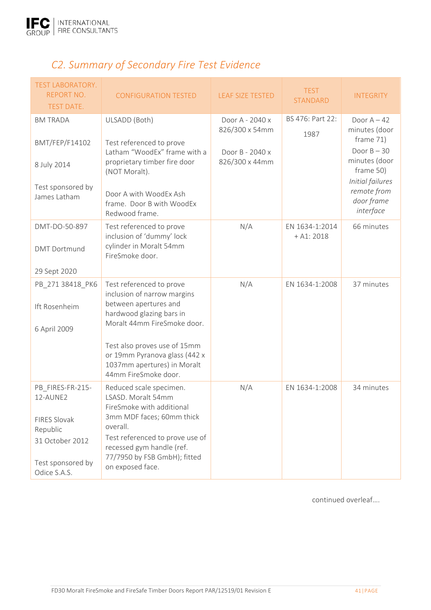

# *C2. Summary of Secondary Fire Test Evidence*

| <b>TEST LABORATORY.</b><br><b>REPORT NO.</b><br><b>TEST DATE.</b>                                                | <b>CONFIGURATION TESTED</b>                                                                                                                                                                                                             | <b>LEAF SIZE TESTED</b>           | <b>TEST</b><br>STANDARD        | <b>INTEGRITY</b>                                                                                          |
|------------------------------------------------------------------------------------------------------------------|-----------------------------------------------------------------------------------------------------------------------------------------------------------------------------------------------------------------------------------------|-----------------------------------|--------------------------------|-----------------------------------------------------------------------------------------------------------|
| <b>BM TRADA</b>                                                                                                  | ULSADD (Both)                                                                                                                                                                                                                           | Door A - 2040 x<br>826/300 x 54mm | BS 476: Part 22:<br>1987       | Door $A - 42$<br>minutes (door                                                                            |
| BMT/FEP/F14102<br>8 July 2014<br>Test sponsored by<br>James Latham                                               | Test referenced to prove<br>Latham "WoodEx" frame with a<br>proprietary timber fire door<br>(NOT Moralt).<br>Door A with WoodEx Ash<br>frame. Door B with WoodEx                                                                        | Door B - 2040 x<br>826/300 x 44mm |                                | frame 71)<br>Door $B - 30$<br>minutes (door<br>frame 50)<br>Initial failures<br>remote from<br>door frame |
|                                                                                                                  | Redwood frame.                                                                                                                                                                                                                          |                                   |                                | interface                                                                                                 |
| DMT-DO-50-897<br><b>DMT</b> Dortmund                                                                             | Test referenced to prove<br>inclusion of 'dummy' lock<br>cylinder in Moralt 54mm<br>FireSmoke door.                                                                                                                                     | N/A                               | EN 1634-1:2014<br>$+$ A1: 2018 | 66 minutes                                                                                                |
| 29 Sept 2020                                                                                                     |                                                                                                                                                                                                                                         |                                   |                                |                                                                                                           |
| PB 271 38418 PK6<br>Ift Rosenheim<br>6 April 2009                                                                | Test referenced to prove<br>inclusion of narrow margins<br>between apertures and<br>hardwood glazing bars in<br>Moralt 44mm FireSmoke door.                                                                                             | N/A                               | EN 1634-1:2008                 | 37 minutes                                                                                                |
|                                                                                                                  | Test also proves use of 15mm<br>or 19mm Pyranova glass (442 x<br>1037mm apertures) in Moralt<br>44mm FireSmoke door.                                                                                                                    |                                   |                                |                                                                                                           |
| PB FIRES-FR-215-<br>12-AUNE2<br>FIRES Slovak<br>Republic<br>31 October 2012<br>Test sponsored by<br>Odice S.A.S. | Reduced scale specimen.<br>LSASD. Moralt 54mm<br>FireSmoke with additional<br>3mm MDF faces; 60mm thick<br>overall.<br>Test referenced to prove use of<br>recessed gym handle (ref.<br>77/7950 by FSB GmbH); fitted<br>on exposed face. | N/A                               | EN 1634-1:2008                 | 34 minutes                                                                                                |

continued overleaf….